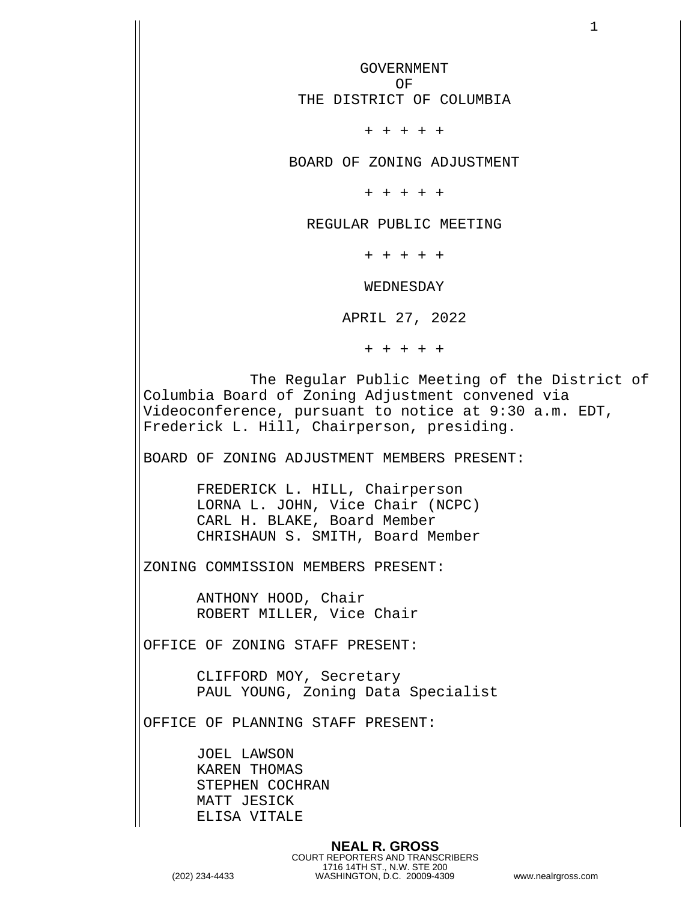GOVERNMENT OF THE DISTRICT OF COLUMBIA + + + + + BOARD OF ZONING ADJUSTMENT + + + + + REGULAR PUBLIC MEETING + + + + + WEDNESDAY APRIL 27, 2022 + + + + + The Regular Public Meeting of the District of Columbia Board of Zoning Adjustment convened via Videoconference, pursuant to notice at 9:30 a.m. EDT, Frederick L. Hill, Chairperson, presiding. BOARD OF ZONING ADJUSTMENT MEMBERS PRESENT: FREDERICK L. HILL, Chairperson LORNA L. JOHN, Vice Chair (NCPC) CARL H. BLAKE, Board Member CHRISHAUN S. SMITH, Board Member ZONING COMMISSION MEMBERS PRESENT: ANTHONY HOOD, Chair ROBERT MILLER, Vice Chair OFFICE OF ZONING STAFF PRESENT: CLIFFORD MOY, Secretary PAUL YOUNG, Zoning Data Specialist OFFICE OF PLANNING STAFF PRESENT: JOEL LAWSON KAREN THOMAS STEPHEN COCHRAN MATT JESICK ELISA VITALE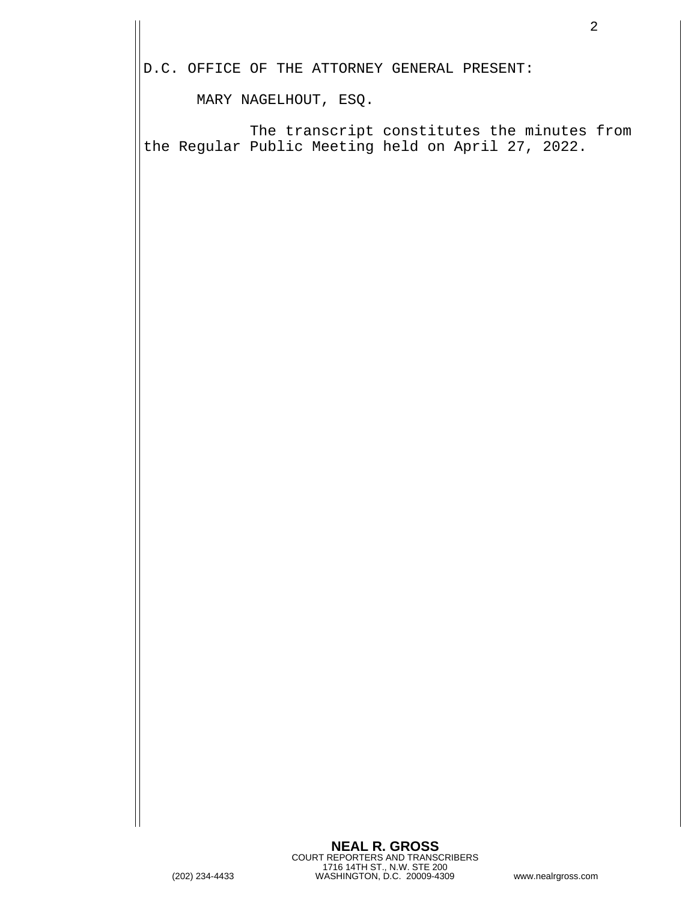D.C. OFFICE OF THE ATTORNEY GENERAL PRESENT:

MARY NAGELHOUT, ESQ.

 The transcript constitutes the minutes from the Regular Public Meeting held on April 27, 2022.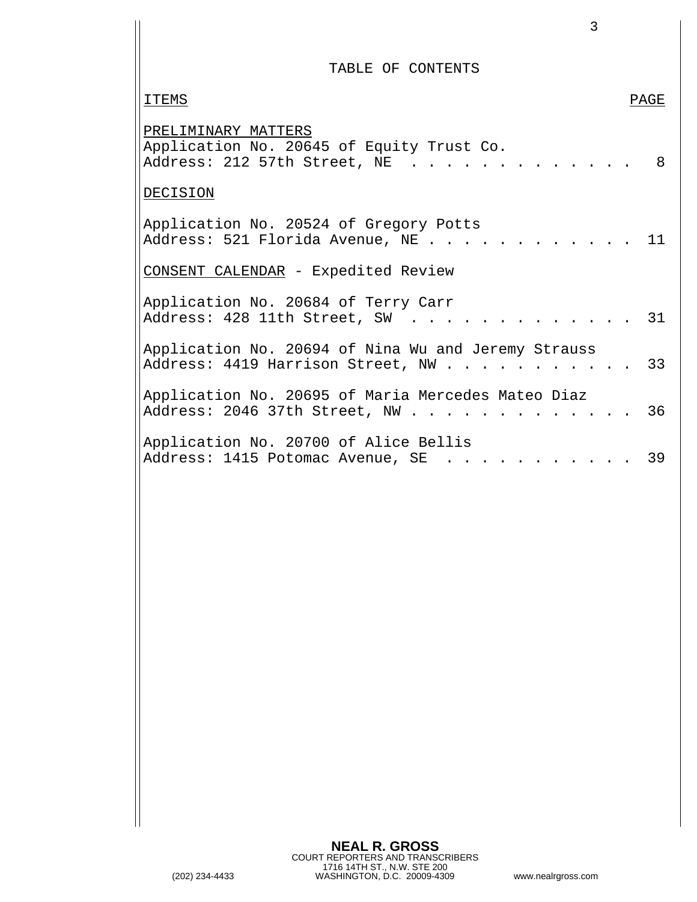TABLE OF CONTENTS

| <b>ITEMS</b>                                                                                     | PAGE |
|--------------------------------------------------------------------------------------------------|------|
| PRELIMINARY MATTERS<br>Application No. 20645 of Equity Trust Co.<br>Address: 212 57th Street, NE | 8    |
| DECISION                                                                                         |      |
| Application No. 20524 of Gregory Potts<br>Address: 521 Florida Avenue, NE                        | 11   |
| CONSENT CALENDAR - Expedited Review                                                              |      |
| Application No. 20684 of Terry Carr<br>Address: 428 11th Street, SW                              | 31   |
| Application No. 20694 of Nina Wu and Jeremy Strauss<br>Address: 4419 Harrison Street, NW 33      |      |
| Application No. 20695 of Maria Mercedes Mateo Diaz<br>Address: 2046 37th Street, NW              | 36   |
| Application No. 20700 of Alice Bellis<br>Address: 1415 Potomac Avenue, SE 39                     |      |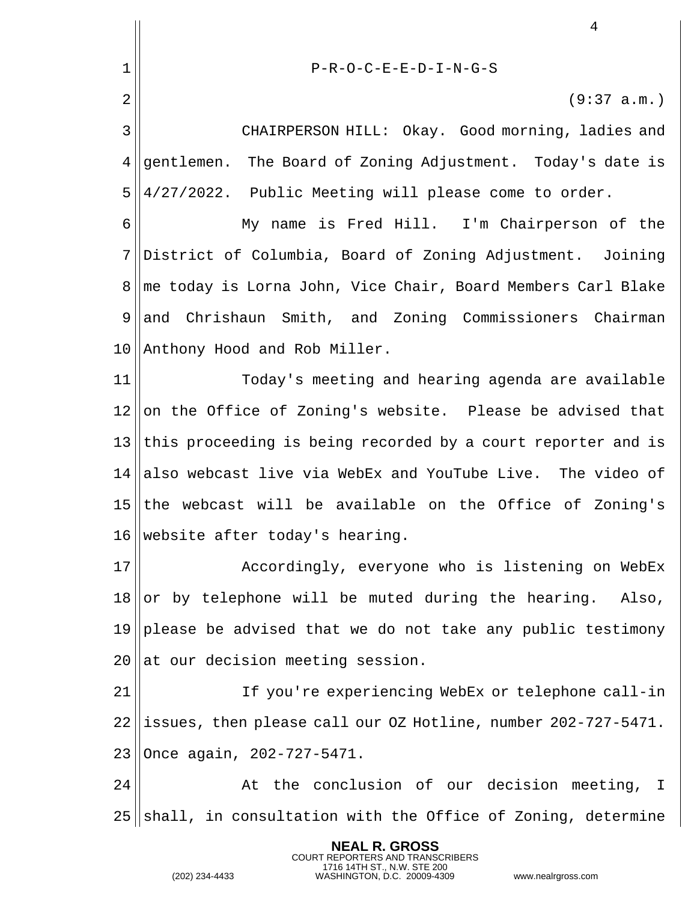|                 | 4                                                             |
|-----------------|---------------------------------------------------------------|
| 1               | $P-R-O-C-E-E-D-I-N-G-S$                                       |
| $\overline{2}$  | (9:37 a.m.)                                                   |
| 3               | CHAIRPERSON HILL: Okay. Good morning, ladies and              |
| 4               | gentlemen. The Board of Zoning Adjustment. Today's date is    |
| 5               | 4/27/2022. Public Meeting will please come to order.          |
| 6               | My name is Fred Hill. I'm Chairperson of the                  |
| 7               | District of Columbia, Board of Zoning Adjustment. Joining     |
| 8               | me today is Lorna John, Vice Chair, Board Members Carl Blake  |
| 9               | and Chrishaun Smith, and Zoning Commissioners Chairman        |
| 10              | Anthony Hood and Rob Miller.                                  |
| 11              | Today's meeting and hearing agenda are available              |
| 12              | on the Office of Zoning's website. Please be advised that     |
| 13              | this proceeding is being recorded by a court reporter and is  |
| 14 <sub>1</sub> | also webcast live via WebEx and YouTube Live. The video of    |
| 15              | the webcast will be available on the Office of Zoning's       |
|                 | 16 $\parallel$ website after today's hearing.                 |
| 17              | Accordingly, everyone who is listening on WebEx               |
| 18              | or by telephone will be muted during the hearing.<br>Also,    |
| 19              | please be advised that we do not take any public testimony    |
| 20              | at our decision meeting session.                              |
| 21              | If you're experiencing WebEx or telephone call-in             |
| 22              | issues, then please call our OZ Hotline, number 202-727-5471. |
| 23              | Once again, 202-727-5471.                                     |
| 24              | At the conclusion of our decision meeting, I                  |
| 25              | shall, in consultation with the Office of Zoning, determine   |

**NEAL R. GROSS**

COURT REPORTERS AND TRANSCRIBERS 1716 14TH ST., N.W. STE 200 (202) 234-4433 WASHINGTON, D.C. 20009-4309 www.nealrgross.com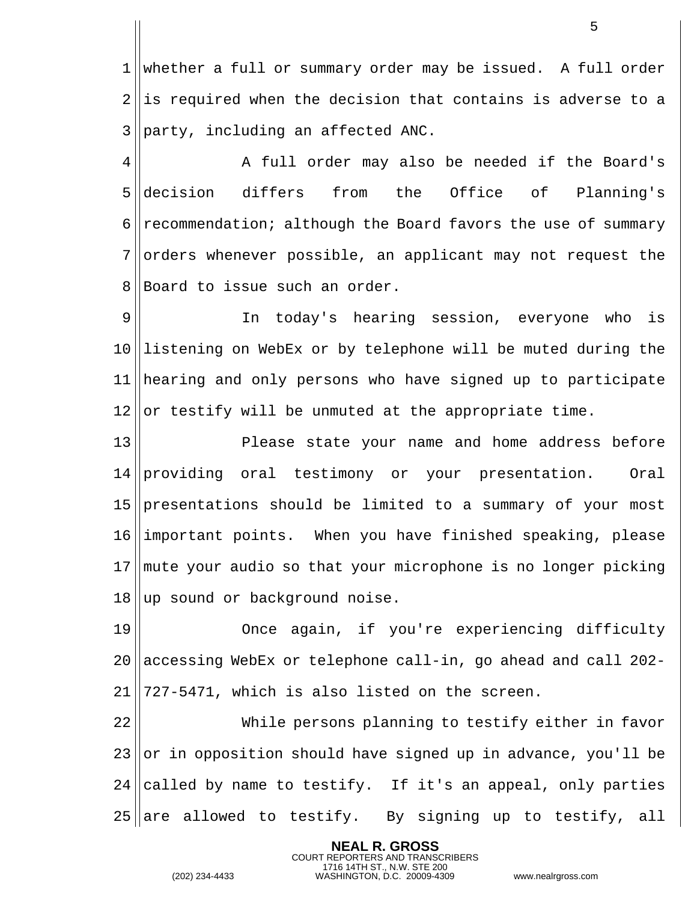whether a full or summary order may be issued. A full order ||is required when the decision that contains is adverse to a ||party, including an affected ANC.

4 || A full order may also be needed if the Board's decision differs from the Office of Planning's  $\parallel$  recommendation; although the Board favors the use of summary orders whenever possible, an applicant may not request the 8 Board to issue such an order.

 In today's hearing session, everyone who is listening on WebEx or by telephone will be muted during the hearing and only persons who have signed up to participate or testify will be unmuted at the appropriate time.

 Please state your name and home address before providing oral testimony or your presentation. Oral presentations should be limited to a summary of your most important points. When you have finished speaking, please mute your audio so that your microphone is no longer picking ||up sound or background noise.

 Once again, if you're experiencing difficulty 20  $|$  accessing WebEx or telephone call-in, go ahead and call 202- $|727-5471$ , which is also listed on the screen.

 While persons planning to testify either in favor or in opposition should have signed up in advance, you'll be 24 called by name to testify. If it's an appeal, only parties are allowed to testify. By signing up to testify, all

> **NEAL R. GROSS** COURT REPORTERS AND TRANSCRIBERS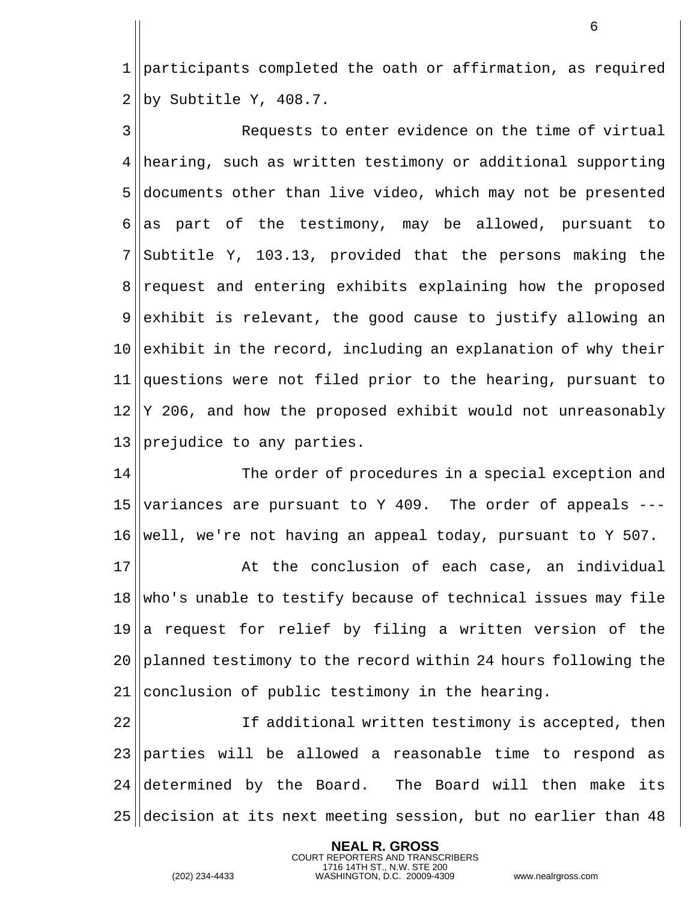1 participants completed the oath or affirmation, as required  $2 \parallel$ by Subtitle Y, 408.7.

3 Requests to enter evidence on the time of virtual 4 hearing, such as written testimony or additional supporting 5 documents other than live video, which may not be presented 6 as part of the testimony, may be allowed, pursuant to  $7$  Subtitle Y, 103.13, provided that the persons making the 8 request and entering exhibits explaining how the proposed  $9$  exhibit is relevant, the good cause to justify allowing an 10 exhibit in the record, including an explanation of why their 11 questions were not filed prior to the hearing, pursuant to  $12 \parallel Y$  206, and how the proposed exhibit would not unreasonably  $13$  prejudice to any parties.

14 The order of procedures in a special exception and 15 variances are pursuant to Y 409. The order of appeals  $-- 16$  well, we're not having an appeal today, pursuant to Y 507.

  $\parallel$  at the conclusion of each case, an individual who's unable to testify because of technical issues may file a request for relief by filing a written version of the 20 planned testimony to the record within 24 hours following the conclusion of public testimony in the hearing.

 If additional written testimony is accepted, then parties will be allowed a reasonable time to respond as 24 determined by the Board. The Board will then make its decision at its next meeting session, but no earlier than 48

> **NEAL R. GROSS** COURT REPORTERS AND TRANSCRIBERS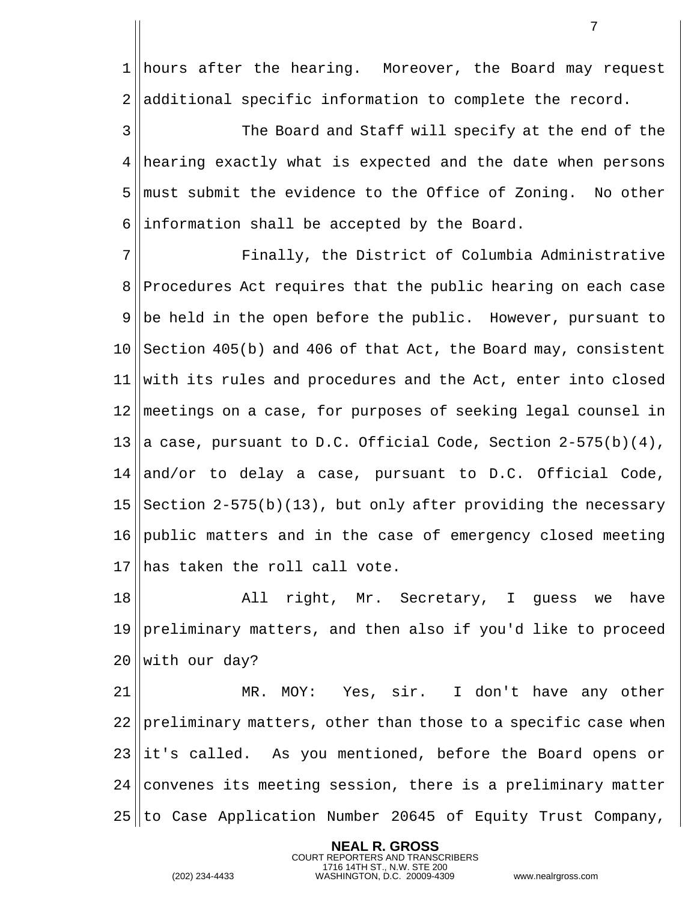1 | hours after the hearing. Moreover, the Board may request ||additional specific information to complete the record.

 The Board and Staff will specify at the end of the 4 hearing exactly what is expected and the date when persons must submit the evidence to the Office of Zoning. No other ||information shall be accepted by the Board.

 Finally, the District of Columbia Administrative 8 Procedures Act requires that the public hearing on each case 9 || be held in the open before the public. However, pursuant to Section 405(b) and 406 of that Act, the Board may, consistent with its rules and procedures and the Act, enter into closed meetings on a case, for purposes of seeking legal counsel in 13 a case, pursuant to D.C. Official Code, Section  $2-575(b)(4)$ , and/or to delay a case, pursuant to D.C. Official Code, Section  $2-575(b)(13)$ , but only after providing the necessary public matters and in the case of emergency closed meeting 17 has taken the roll call vote.

 All right, Mr. Secretary, I guess we have preliminary matters, and then also if you'd like to proceed with our day?

 MR. MOY: Yes, sir. I don't have any other preliminary matters, other than those to a specific case when it's called. As you mentioned, before the Board opens or convenes its meeting session, there is a preliminary matter to Case Application Number 20645 of Equity Trust Company,

> **NEAL R. GROSS** COURT REPORTERS AND TRANSCRIBERS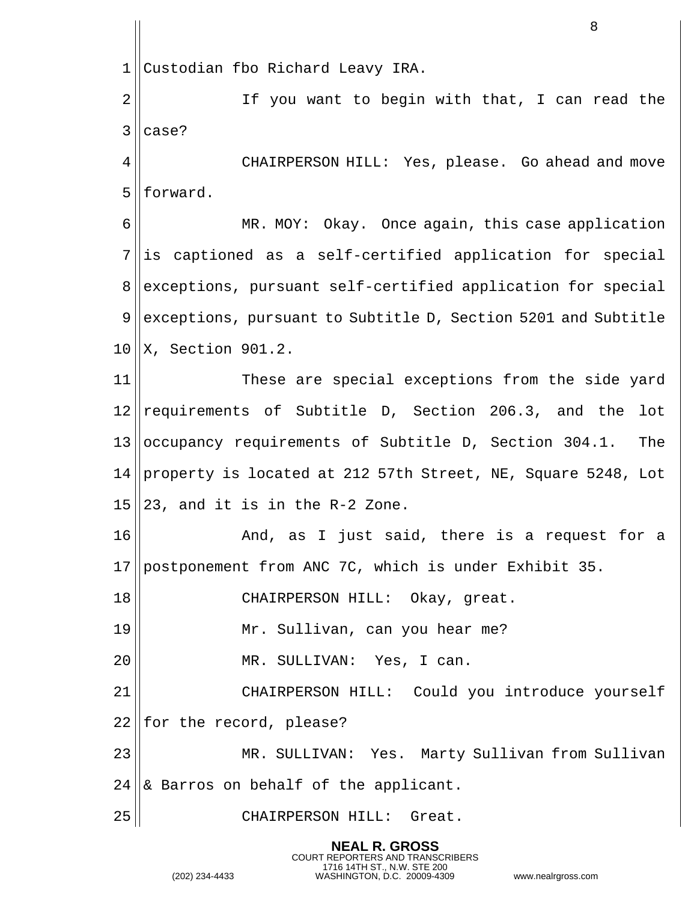Custodian fbo Richard Leavy IRA. 2 || If you want to begin with that, I can read the | case? CHAIRPERSON HILL: Yes, please. Go ahead and move | forward. 6 || MR. MOY: Okay. Once again, this case application ||is captioned as a self-certified application for special 8 exceptions, pursuant self-certified application for special exceptions, pursuant to Subtitle D, Section 5201 and Subtitle ||X, Section 901.2. These are special exceptions from the side yard 12 || requirements of Subtitle D, Section 206.3, and the lot  $|$ occupancy requirements of Subtitle D, Section 304.1. The 14 property is located at 212 57th Street, NE, Square 5248, Lot  $15 \parallel 23$ , and it is in the R-2 Zone. 16 And, as I just said, there is a request for a postponement from ANC 7C, which is under Exhibit 35. CHAIRPERSON HILL: Okay, great. Mr. Sullivan, can you hear me? MR. SULLIVAN: Yes, I can. CHAIRPERSON HILL: Could you introduce yourself || for the record, please? MR. SULLIVAN: Yes. Marty Sullivan from Sullivan  $\&$  Barros on behalf of the applicant. 25 || CHAIRPERSON HILL: Great.

> **NEAL R. GROSS** COURT REPORTERS AND TRANSCRIBERS

1716 14TH ST., N.W. STE 200 (202) 234-4433 WASHINGTON, D.C. 20009-4309 www.nealrgross.com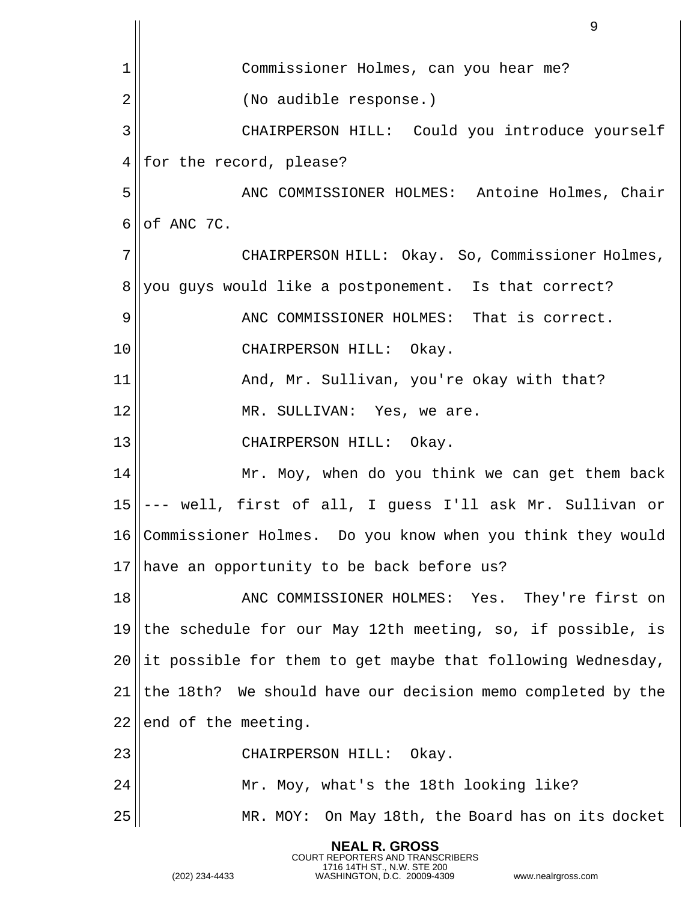|                 | 9                                                               |
|-----------------|-----------------------------------------------------------------|
| 1               | Commissioner Holmes, can you hear me?                           |
| 2               | (No audible response.)                                          |
| 3               | CHAIRPERSON HILL: Could you introduce yourself                  |
| 4               | for the record, please?                                         |
| 5               | ANC COMMISSIONER HOLMES: Antoine Holmes, Chair                  |
| 6               | of ANC 7C.                                                      |
| 7               | CHAIRPERSON HILL: Okay. So, Commissioner Holmes,                |
| 8               | you guys would like a postponement. Is that correct?            |
| 9               | ANC COMMISSIONER HOLMES: That is correct.                       |
| 10              | CHAIRPERSON HILL: Okay.                                         |
| 11              | And, Mr. Sullivan, you're okay with that?                       |
| 12              | MR. SULLIVAN: Yes, we are.                                      |
| 13              | CHAIRPERSON HILL: Okay.                                         |
| 14              | Mr. Moy, when do you think we can get them back                 |
| 15              | - well, first of all, I guess I'll ask Mr. Sullivan or          |
|                 | 16  Commissioner Holmes.  Do you know when you think they would |
| 17 <sub>1</sub> | have an opportunity to be back before us?                       |
| 18              | ANC COMMISSIONER HOLMES: Yes. They're first on                  |
| 19              | the schedule for our May 12th meeting, so, if possible, is      |
| 20              | it possible for them to get maybe that following Wednesday,     |
| 21              | the 18th? We should have our decision memo completed by the     |
| 22              | end of the meeting.                                             |
| 23              | CHAIRPERSON HILL: Okay.                                         |
| 24              | Mr. Moy, what's the 18th looking like?                          |
| 25              | MR. MOY: On May 18th, the Board has on its docket               |
|                 | <b>NEAL R. GROSS</b>                                            |

COURT REPORTERS AND TRANSCRIBERS 1716 14TH ST., N.W. STE 200 (202) 234-4433 WASHINGTON, D.C. 20009-4309 www.nealrgross.com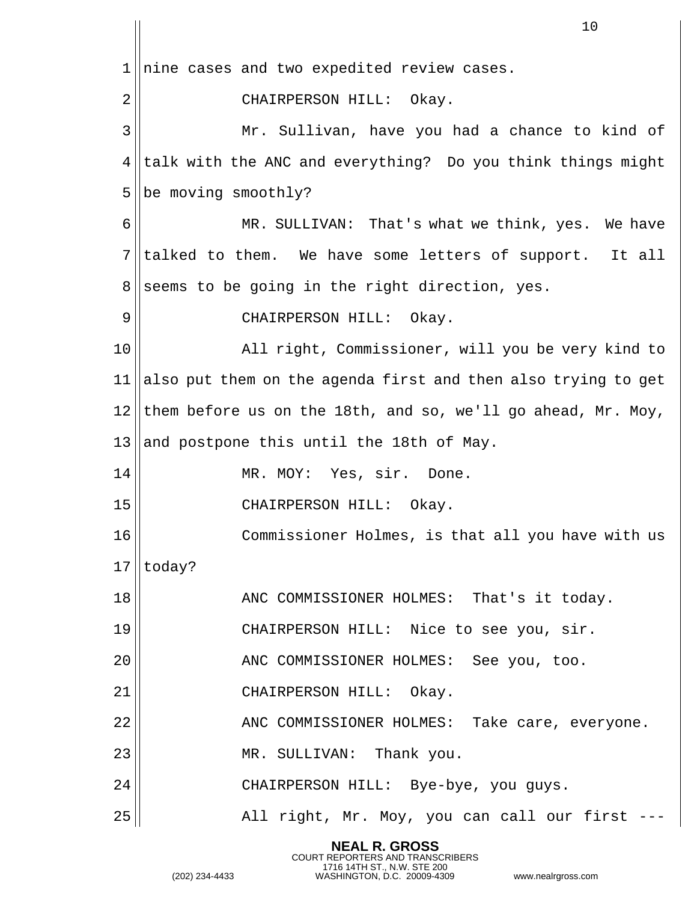|    | 10                                                            |
|----|---------------------------------------------------------------|
| 1  | nine cases and two expedited review cases.                    |
| 2  | CHAIRPERSON HILL: Okay.                                       |
| 3  | Mr. Sullivan, have you had a chance to kind of                |
| 4  | talk with the ANC and everything? Do you think things might   |
| 5  | be moving smoothly?                                           |
| 6  | MR. SULLIVAN: That's what we think, yes. We have              |
| 7  | talked to them. We have some letters of support. It all       |
| 8  | seems to be going in the right direction, yes.                |
| 9  | CHAIRPERSON HILL: Okay.                                       |
| 10 | All right, Commissioner, will you be very kind to             |
| 11 | also put them on the agenda first and then also trying to get |
| 12 | them before us on the 18th, and so, we'll go ahead, Mr. Moy,  |
| 13 | and postpone this until the 18th of May.                      |
| 14 | MR. MOY: Yes, sir. Done.                                      |
| 15 | CHAIRPERSON HILL:<br>Okay.                                    |
| 16 | Commissioner Holmes, is that all you have with us             |
| 17 | today?                                                        |
| 18 | ANC COMMISSIONER HOLMES: That's it today.                     |
| 19 | CHAIRPERSON HILL: Nice to see you, sir.                       |
| 20 | ANC COMMISSIONER HOLMES: See you, too.                        |
| 21 | CHAIRPERSON HILL: Okay.                                       |
| 22 | ANC COMMISSIONER HOLMES: Take care, everyone.                 |
| 23 | MR. SULLIVAN: Thank you.                                      |
| 24 | CHAIRPERSON HILL: Bye-bye, you guys.                          |
| 25 | All right, Mr. Moy, you can call our first -                  |

**NEAL R. GROSS**

COURT REPORTERS AND TRANSCRIBERS 1716 14TH ST., N.W. STE 200 (202) 234-4433 WASHINGTON, D.C. 20009-4309 www.nealrgross.com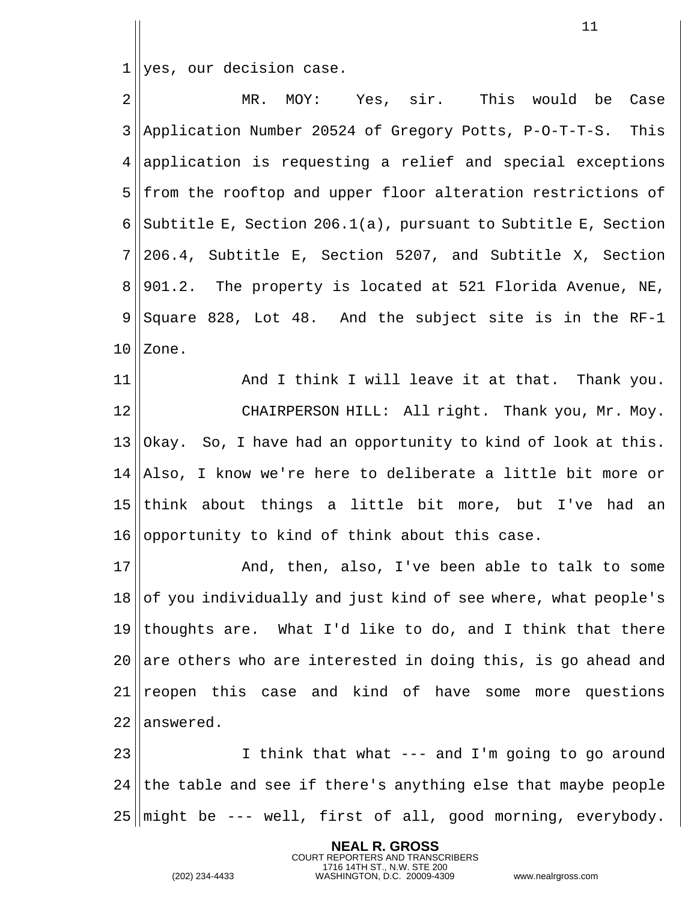1 yes, our decision case.

2 MR. MOY: Yes, sir. This would be Case 3 Application Number 20524 of Gregory Potts, P-O-T-T-S. This  $4$  application is requesting a relief and special exceptions 5 from the rooftop and upper floor alteration restrictions of 6 Subtitle E, Section 206.1(a), pursuant to Subtitle E, Section  $7||206.4$ , Subtitle E, Section 5207, and Subtitle X, Section  $8 \parallel 901.2$ . The property is located at 521 Florida Avenue, NE,  $9 \parallel$  Square 828, Lot 48. And the subject site is in the RF-1  $10$  | Zone. 11 || And I think I will leave it at that. Thank you.

12 || CHAIRPERSON HILL: All right. Thank you, Mr. Moy.  $13$  | Okay. So, I have had an opportunity to kind of look at this. 14 ||Also, I know we're here to deliberate a little bit more or 15 || think about things a little bit more, but I've had an  $16$  opportunity to kind of think about this case.

 And, then, also, I've been able to talk to some of you individually and just kind of see where, what people's 19 thoughts are. What I'd like to do, and I think that there 20 are others who are interested in doing this, is go ahead and reopen this case and kind of have some more questions lanswered.

23 I think that what --- and I'm going to go around  $24$  the table and see if there's anything else that maybe people  $25$  might be  $--$  well, first of all, good morning, everybody.

> **NEAL R. GROSS** COURT REPORTERS AND TRANSCRIBERS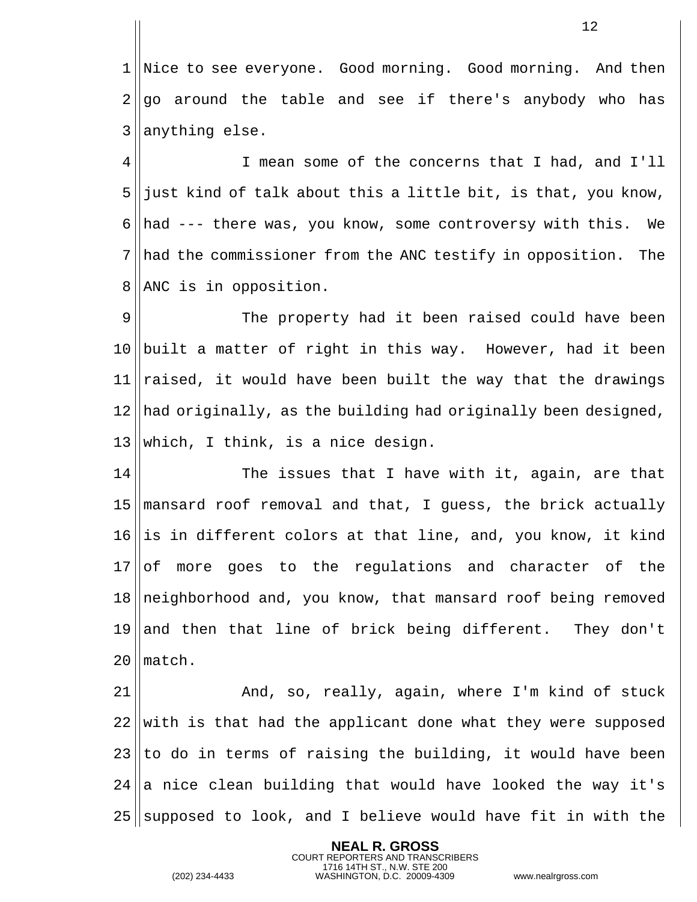Nice to see everyone. Good morning. Good morning. And then go around the table and see if there's anybody who has || anything else.

 I mean some of the concerns that I had, and I'll just kind of talk about this a little bit, is that, you know, 6 had --- there was, you know, some controversy with this. We had the commissioner from the ANC testify in opposition. The 8 | ANC is in opposition.

9 The property had it been raised could have been built a matter of right in this way. However, had it been  $\vert$  raised, it would have been built the way that the drawings had originally, as the building had originally been designed, which, I think, is a nice design.

  $\parallel$  The issues that I have with it, again, are that mansard roof removal and that, I guess, the brick actually ||is in different colors at that line, and, you know, it kind of more goes to the regulations and character of the 18 neighborhood and, you know, that mansard roof being removed and then that line of brick being different. They don't lmatch.

 And, so, really, again, where I'm kind of stuck with is that had the applicant done what they were supposed to do in terms of raising the building, it would have been a nice clean building that would have looked the way it's supposed to look, and I believe would have fit in with the

> **NEAL R. GROSS** COURT REPORTERS AND TRANSCRIBERS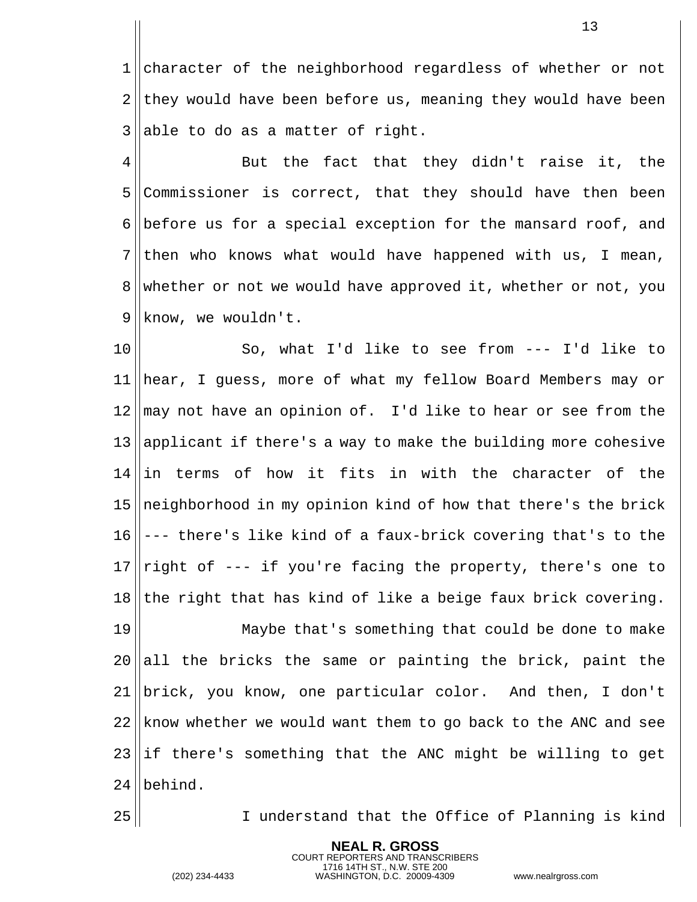1 character of the neighborhood regardless of whether or not they would have been before us, meaning they would have been able to do as a matter of right.

 $4 \parallel$  But the fact that they didn't raise it, the Commissioner is correct, that they should have then been 6 before us for a special exception for the mansard roof, and ||then who knows what would have happened with us, I mean, 8 whether or not we would have approved it, whether or not, you | know, we wouldn't.

 So, what I'd like to see from --- I'd like to hear, I guess, more of what my fellow Board Members may or may not have an opinion of. I'd like to hear or see from the 13 applicant if there's a way to make the building more cohesive ||in terms of how it fits in with the character of the  $\ln\frac{1}{10}$  neighborhood in my opinion kind of how that there's the brick  $16 \parallel --$  there's like kind of a faux-brick covering that's to the  $\lVert$ right of --- if you're facing the property, there's one to the right that has kind of like a beige faux brick covering.

 Maybe that's something that could be done to make all the bricks the same or painting the brick, paint the 21 ||brick, you know, one particular color. And then, I don't know whether we would want them to go back to the ANC and see if there's something that the ANC might be willing to get 24 | behind.

> **NEAL R. GROSS** COURT REPORTERS AND TRANSCRIBERS

I understand that the Office of Planning is kind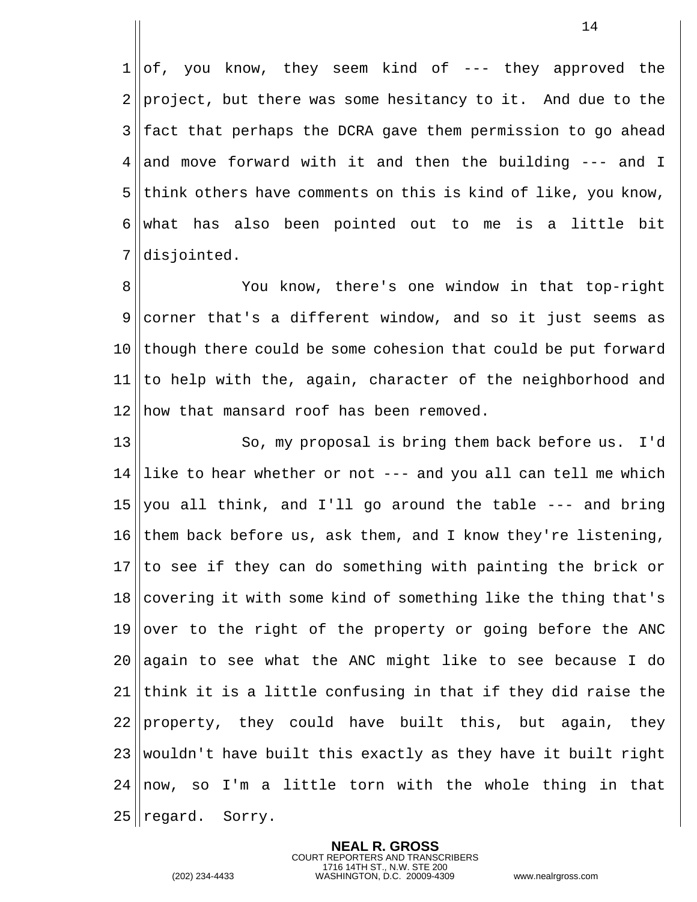$1 \mid \mid$ of, you know, they seem kind of --- they approved the project, but there was some hesitancy to it. And due to the fact that perhaps the DCRA gave them permission to go ahead 4 and move forward with it and then the building  $---$  and I think others have comments on this is kind of like, you know, 6 what has also been pointed out to me is a little bit disjointed.

 You know, there's one window in that top-right corner that's a different window, and so it just seems as though there could be some cohesion that could be put forward  $|$ to help with the, again, character of the neighborhood and 12 | how that mansard roof has been removed.

13 || So, my proposal is bring them back before us. I'd like to hear whether or not --- and you all can tell me which 15 you all think, and I'll go around the table  $---$  and bring 16 them back before us, ask them, and I know they're listening, to see if they can do something with painting the brick or covering it with some kind of something like the thing that's over to the right of the property or going before the ANC 20 again to see what the ANC might like to see because I do think it is a little confusing in that if they did raise the property, they could have built this, but again, they wouldn't have built this exactly as they have it built right now, so I'm a little torn with the whole thing in that regard. Sorry.

> **NEAL R. GROSS** COURT REPORTERS AND TRANSCRIBERS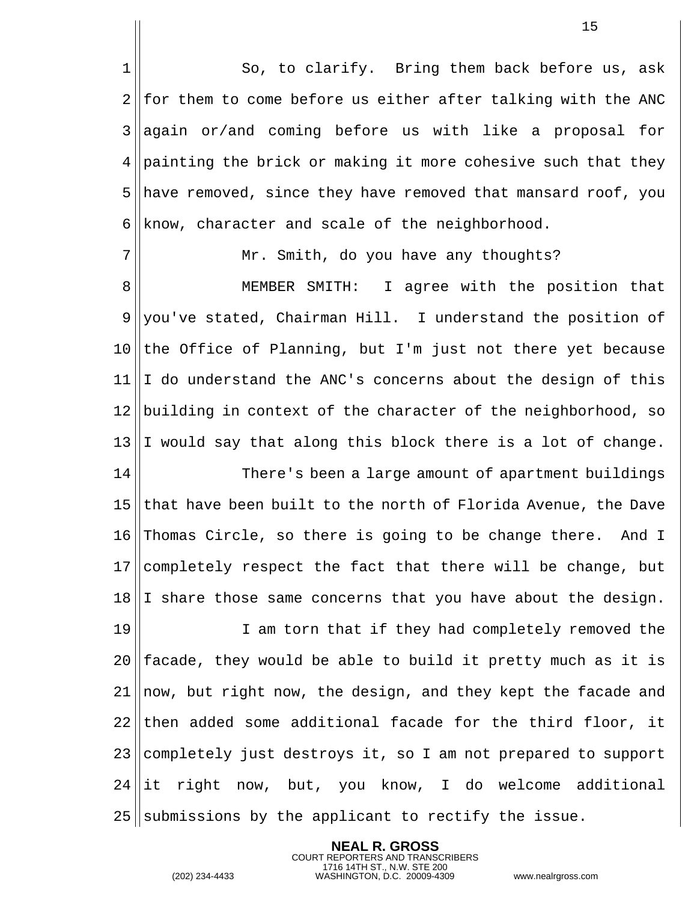1 So, to clarify. Bring them back before us, ask for them to come before us either after talking with the ANC again or/and coming before us with like a proposal for painting the brick or making it more cohesive such that they have removed, since they have removed that mansard roof, you know, character and scale of the neighborhood.

7 || Mr. Smith, do you have any thoughts?

 MEMBER SMITH: I agree with the position that you've stated, Chairman Hill. I understand the position of the Office of Planning, but I'm just not there yet because  $11 \parallel I$  do understand the ANC's concerns about the design of this 12 building in context of the character of the neighborhood, so I would say that along this block there is a lot of change.

 There's been a large amount of apartment buildings that have been built to the north of Florida Avenue, the Dave Thomas Circle, so there is going to be change there. And I 17 completely respect the fact that there will be change, but  $18 \parallel$ I share those same concerns that you have about the design.

19 || I am torn that if they had completely removed the facade, they would be able to build it pretty much as it is now, but right now, the design, and they kept the facade and then added some additional facade for the third floor, it completely just destroys it, so I am not prepared to support 24 lit right now, but, you know, I do welcome additional || submissions by the applicant to rectify the issue.

> **NEAL R. GROSS** COURT REPORTERS AND TRANSCRIBERS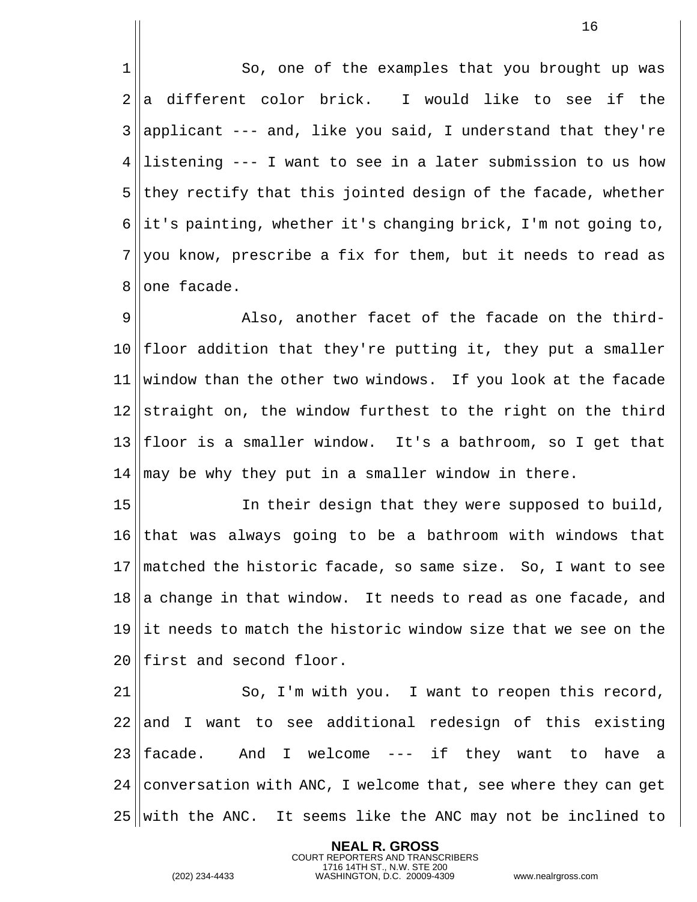1| So, one of the examples that you brought up was  $2\parallel a$  different color brick. I would like to see if the applicant --- and, like you said, I understand that they're ||listening --- I want to see in a later submission to us how they rectify that this jointed design of the facade, whether 6 it's painting, whether it's changing brick, I'm not going to, you know, prescribe a fix for them, but it needs to read as | one facade.

9 also, another facet of the facade on the third-  $|$  floor addition that they're putting it, they put a smaller window than the other two windows. If you look at the facade straight on, the window furthest to the right on the third floor is a smaller window. It's a bathroom, so I get that may be why they put in a smaller window in there.

 In their design that they were supposed to build, that was always going to be a bathroom with windows that matched the historic facade, so same size. So, I want to see a change in that window. It needs to read as one facade, and ||it needs to match the historic window size that we see on the 20 Ifirst and second floor.

  $\parallel$  So, I'm with you. I want to reopen this record, and I want to see additional redesign of this existing  $|$  facade. And I welcome --- if they want to have a 24 conversation with ANC, I welcome that, see where they can get with the ANC. It seems like the ANC may not be inclined to

> **NEAL R. GROSS** COURT REPORTERS AND TRANSCRIBERS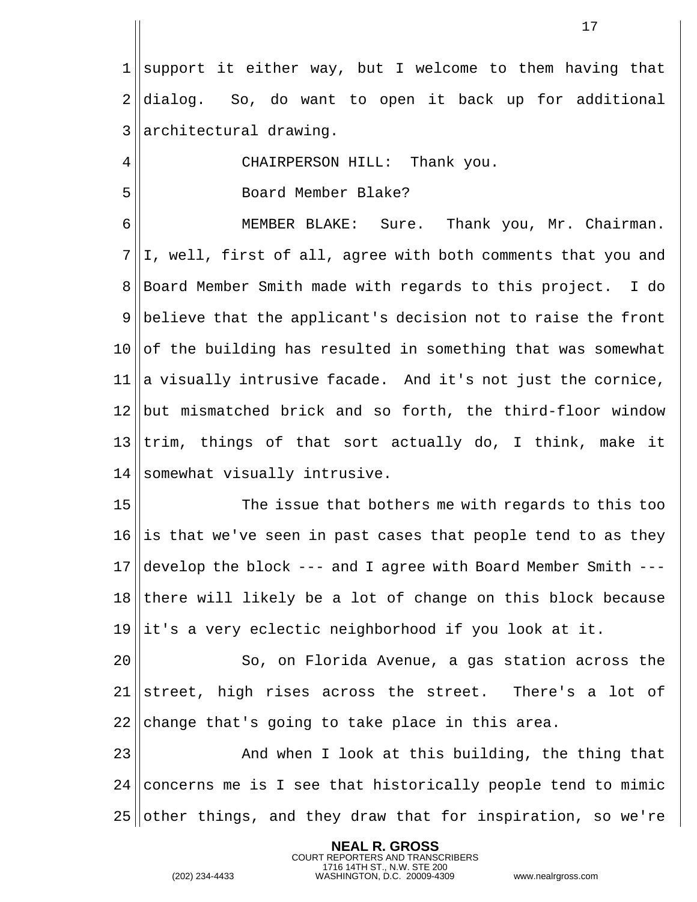||support it either way, but I welcome to them having that 2 dialog. So, do want to open it back up for additional 3 || architectural drawing.

CHAIRPERSON HILL: Thank you.

Board Member Blake?

 MEMBER BLAKE: Sure. Thank you, Mr. Chairman.  $7||1$ , well, first of all, agree with both comments that you and Board Member Smith made with regards to this project. I do 9 believe that the applicant's decision not to raise the front of the building has resulted in something that was somewhat a visually intrusive facade. And it's not just the cornice, 12 but mismatched brick and so forth, the third-floor window trim, things of that sort actually do, I think, make it 14 Somewhat visually intrusive.

 The issue that bothers me with regards to this too is that we've seen in past cases that people tend to as they develop the block --- and I agree with Board Member Smith --- there will likely be a lot of change on this block because it's a very eclectic neighborhood if you look at it.

20 || So, on Florida Avenue, a gas station across the street, high rises across the street. There's a lot of change that's going to take place in this area.

23 || And when I look at this building, the thing that concerns me is I see that historically people tend to mimic other things, and they draw that for inspiration, so we're

> **NEAL R. GROSS** COURT REPORTERS AND TRANSCRIBERS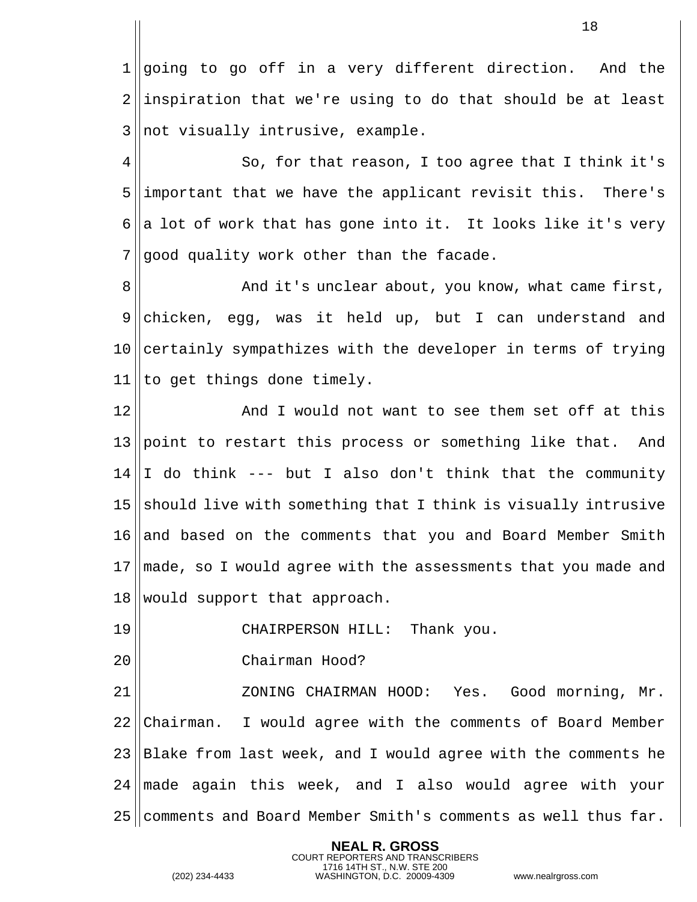1 going to go off in a very different direction. And the ||inspiration that we're using to do that should be at least ||not visually intrusive, example.

 $4 \parallel$  So, for that reason, I too agree that I think it's important that we have the applicant revisit this. There's 6 a lot of work that has gone into it. It looks like it's very good quality work other than the facade.

 And it's unclear about, you know, what came first, chicken, egg, was it held up, but I can understand and certainly sympathizes with the developer in terms of trying to get things done timely.

 And I would not want to see them set off at this 13 point to restart this process or something like that. And  $14 \parallel I$  do think --- but I also don't think that the community 15 should live with something that I think is visually intrusive and based on the comments that you and Board Member Smith 17 made, so I would agree with the assessments that you made and would support that approach.

CHAIRPERSON HILL: Thank you.

Chairman Hood?

 ZONING CHAIRMAN HOOD: Yes. Good morning, Mr. 22 Chairman. I would agree with the comments of Board Member Blake from last week, and I would agree with the comments he made again this week, and I also would agree with your comments and Board Member Smith's comments as well thus far.

> **NEAL R. GROSS** COURT REPORTERS AND TRANSCRIBERS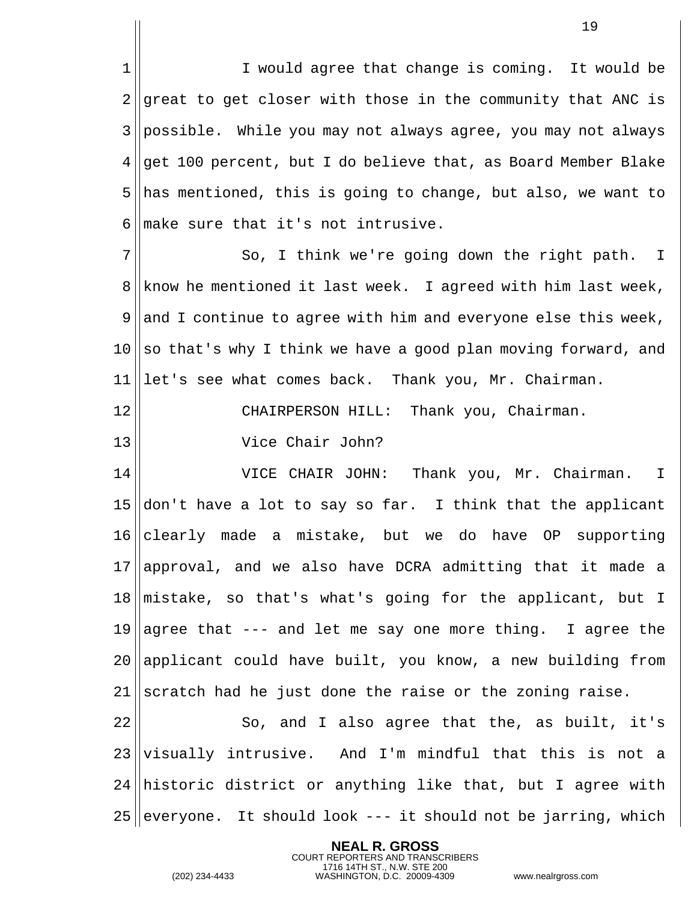1 I would agree that change is coming. It would be ||great to get closer with those in the community that ANC is 3 possible. While you may not always agree, you may not always ||get 100 percent, but I do believe that, as Board Member Blake has mentioned, this is going to change, but also, we want to make sure that it's not intrusive.

7 || So, I think we're going down the right path. I 8 Know he mentioned it last week. I agreed with him last week, 9 and I continue to agree with him and everyone else this week,  $10$  so that's why I think we have a good plan moving forward, and 11 let's see what comes back. Thank you, Mr. Chairman.

12 || CHAIRPERSON HILL: Thank you, Chairman.

13 Vice Chair John?

 VICE CHAIR JOHN: Thank you, Mr. Chairman. I  $\vert$  don't have a lot to say so far. I think that the applicant clearly made a mistake, but we do have OP supporting 17 approval, and we also have DCRA admitting that it made a mistake, so that's what's going for the applicant, but I 19 aqree that --- and let me say one more thing. I agree the applicant could have built, you know, a new building from scratch had he just done the raise or the zoning raise.

 $22 \parallel$  So, and I also agree that the, as built, it's  $23$  visually intrusive. And I'm mindful that this is not a  $24$  historic district or anything like that, but I agree with 25 everyone. It should look  $--$  it should not be jarring, which

> **NEAL R. GROSS** COURT REPORTERS AND TRANSCRIBERS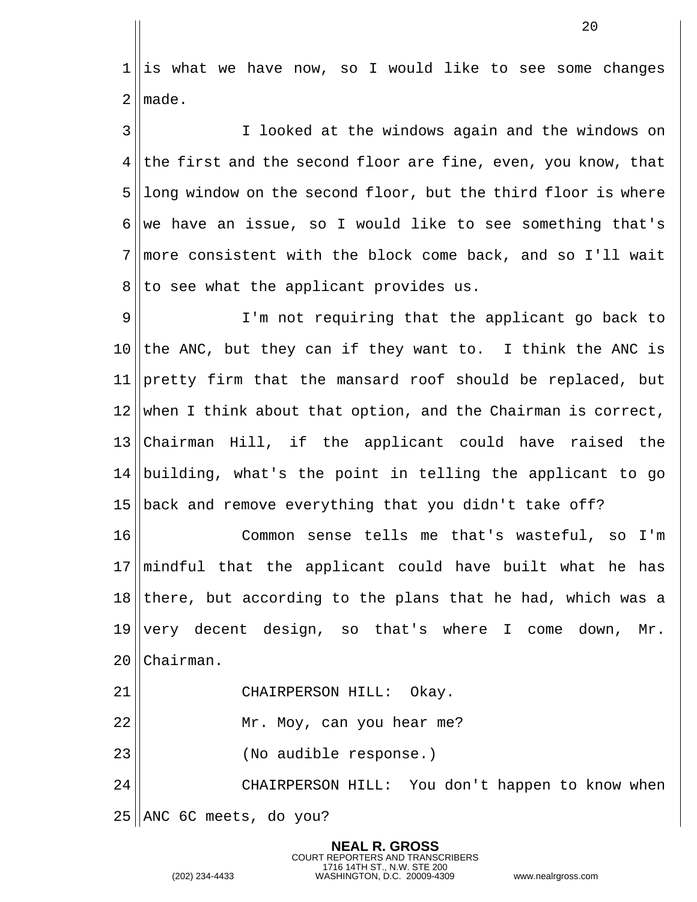||is what we have now, so I would like to see some changes  $\blacksquare$  made.

 I looked at the windows again and the windows on the first and the second floor are fine, even, you know, that ||long window on the second floor, but the third floor is where 6 we have an issue, so I would like to see something that's more consistent with the block come back, and so I'll wait to see what the applicant provides us.

9 || I'm not requiring that the applicant go back to the ANC, but they can if they want to. I think the ANC is 11 pretty firm that the mansard roof should be replaced, but when I think about that option, and the Chairman is correct, Chairman Hill, if the applicant could have raised the building, what's the point in telling the applicant to go 15 back and remove everything that you didn't take off?

 Common sense tells me that's wasteful, so I'm mindful that the applicant could have built what he has there, but according to the plans that he had, which was a very decent design, so that's where I come down, Mr. 20 Chairman.

21 || CHAIRPERSON HILL: Okay. Mr. Moy, can you hear me? 23 || (No audible response.)

 CHAIRPERSON HILL: You don't happen to know when ANC 6C meets, do you?

> **NEAL R. GROSS** COURT REPORTERS AND TRANSCRIBERS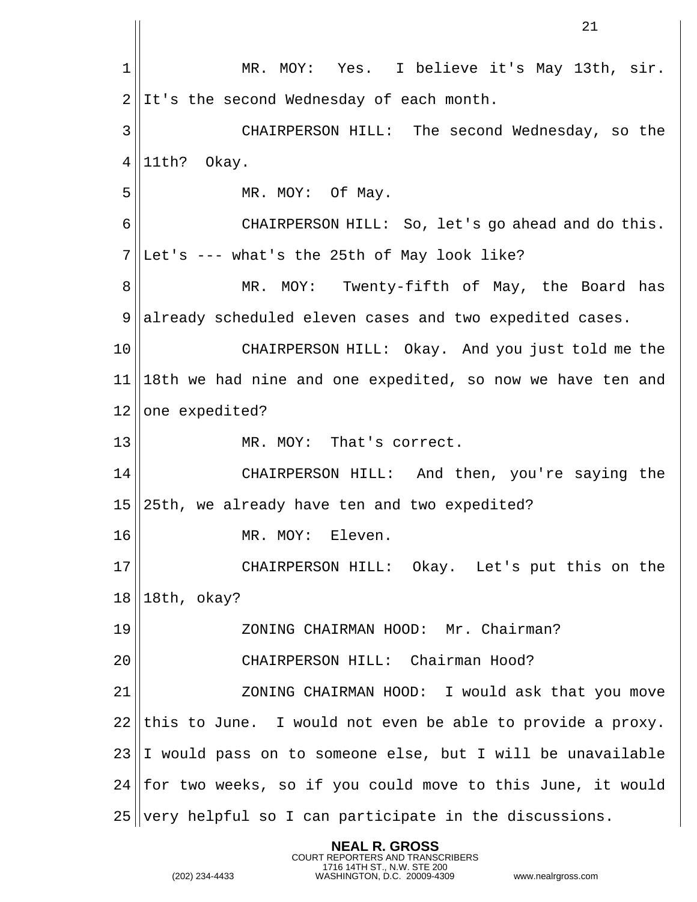MR. MOY: Yes. I believe it's May 13th, sir.  $2 \parallel$ It's the second Wednesday of each month. CHAIRPERSON HILL: The second Wednesday, so the | 11th? Okay. 5 || MR. MOY: Of May. CHAIRPERSON HILL: So, let's go ahead and do this. ||Let's --- what's the 25th of May look like? 8 || MR. MOY: Twenty-fifth of May, the Board has already scheduled eleven cases and two expedited cases. CHAIRPERSON HILL: Okay. And you just told me the 18th we had nine and one expedited, so now we have ten and one expedited? MR. MOY: That's correct. CHAIRPERSON HILL: And then, you're saying the 15 25th, we already have ten and two expedited? 16 || MR. MOY: Eleven. CHAIRPERSON HILL: Okay. Let's put this on the | 18th, okay? ZONING CHAIRMAN HOOD: Mr. Chairman? CHAIRPERSON HILL: Chairman Hood? 21 || ZONING CHAIRMAN HOOD: I would ask that you move this to June. I would not even be able to provide a proxy. I would pass on to someone else, but I will be unavailable for two weeks, so if you could move to this June, it would very helpful so I can participate in the discussions.

> **NEAL R. GROSS** COURT REPORTERS AND TRANSCRIBERS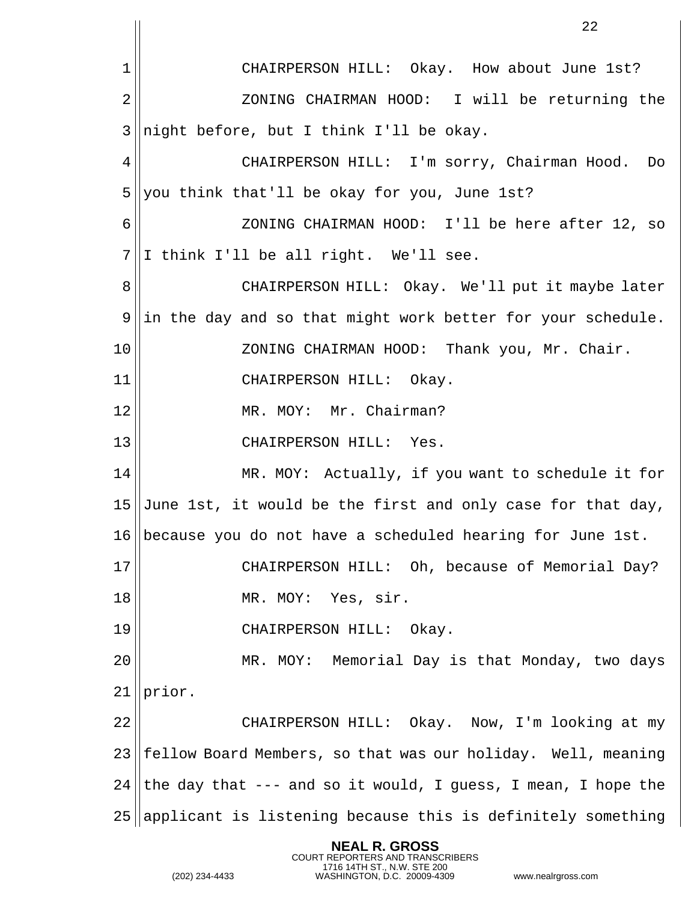CHAIRPERSON HILL: Okay. How about June 1st? ZONING CHAIRMAN HOOD: I will be returning the ||night before, but I think I'll be okay. CHAIRPERSON HILL: I'm sorry, Chairman Hood. Do you think that'll be okay for you, June 1st? ZONING CHAIRMAN HOOD: I'll be here after 12, so  $7||I \text{ think I'll be all right. We'll see.}$ 8 || CHAIRPERSON HILL: Okay. We'll put it maybe later ||in the day and so that might work better for your schedule. ZONING CHAIRMAN HOOD: Thank you, Mr. Chair. CHAIRPERSON HILL: Okay. MR. MOY: Mr. Chairman? CHAIRPERSON HILL: Yes. 14 || MR. MOY: Actually, if you want to schedule it for 15 June 1st, it would be the first and only case for that day, because you do not have a scheduled hearing for June 1st. CHAIRPERSON HILL: Oh, because of Memorial Day? 18 || MR. MOY: Yes, sir. CHAIRPERSON HILL: Okay. MR. MOY: Memorial Day is that Monday, two days | prior. CHAIRPERSON HILL: Okay. Now, I'm looking at my ||fellow Board Members, so that was our holiday. Well, meaning 24 the day that --- and so it would, I guess, I mean, I hope the applicant is listening because this is definitely something

> **NEAL R. GROSS** COURT REPORTERS AND TRANSCRIBERS

1716 14TH ST., N.W. STE 200 (202) 234-4433 WASHINGTON, D.C. 20009-4309 www.nealrgross.com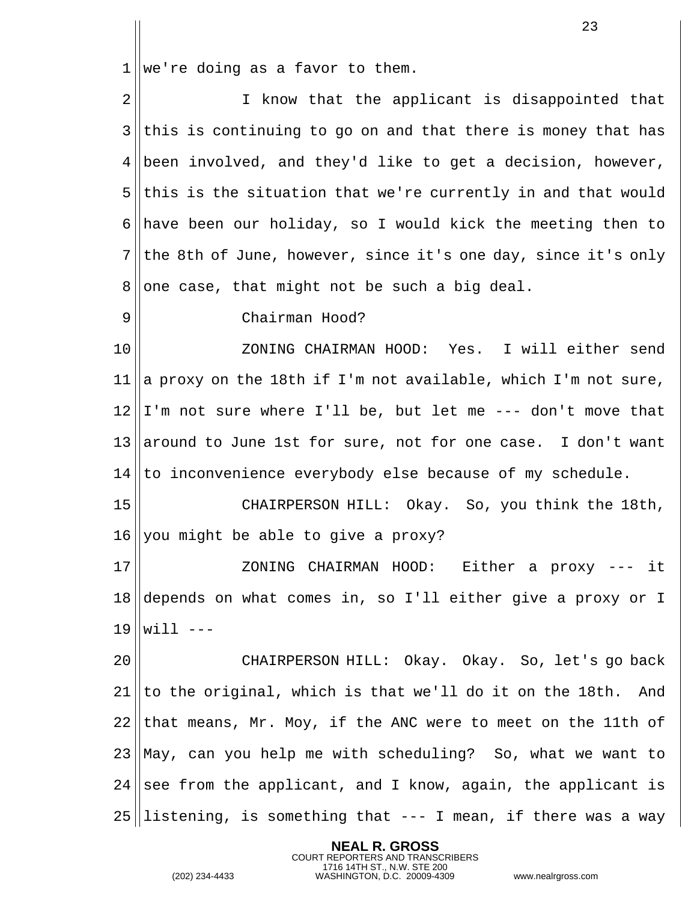||we're doing as a favor to them.

| $\overline{2}$ | I know that the applicant is disappointed that                     |
|----------------|--------------------------------------------------------------------|
| $3$            | this is continuing to go on and that there is money that has       |
|                | $4$   been involved, and they'd like to get a decision, however,   |
|                | $5$   this is the situation that we're currently in and that would |
|                | 6 have been our holiday, so I would kick the meeting then to       |
|                | $7$ the 8th of June, however, since it's one day, since it's only  |
| 8 <sup>1</sup> | one case, that might not be such a big deal.                       |
| 9              | Chairman Hood?                                                     |
|                |                                                                    |

 ZONING CHAIRMAN HOOD: Yes. I will either send ||a proxy on the 18th if I'm not available, which I'm not sure, I'm not sure where I'll be, but let me --- don't move that 13 around to June 1st for sure, not for one case. I don't want to inconvenience everybody else because of my schedule.

15 || CHAIRPERSON HILL: Okay. So, you think the 18th, you might be able to give a proxy?

 ZONING CHAIRMAN HOOD: Either a proxy --- it depends on what comes in, so I'll either give a proxy or I will  $---$ 

 CHAIRPERSON HILL: Okay. Okay. So, let's go back to the original, which is that we'll do it on the 18th. And that means, Mr. Moy, if the ANC were to meet on the 11th of May, can you help me with scheduling? So, what we want to see from the applicant, and I know, again, the applicant is listening, is something that  $---$  I mean, if there was a way

> **NEAL R. GROSS** COURT REPORTERS AND TRANSCRIBERS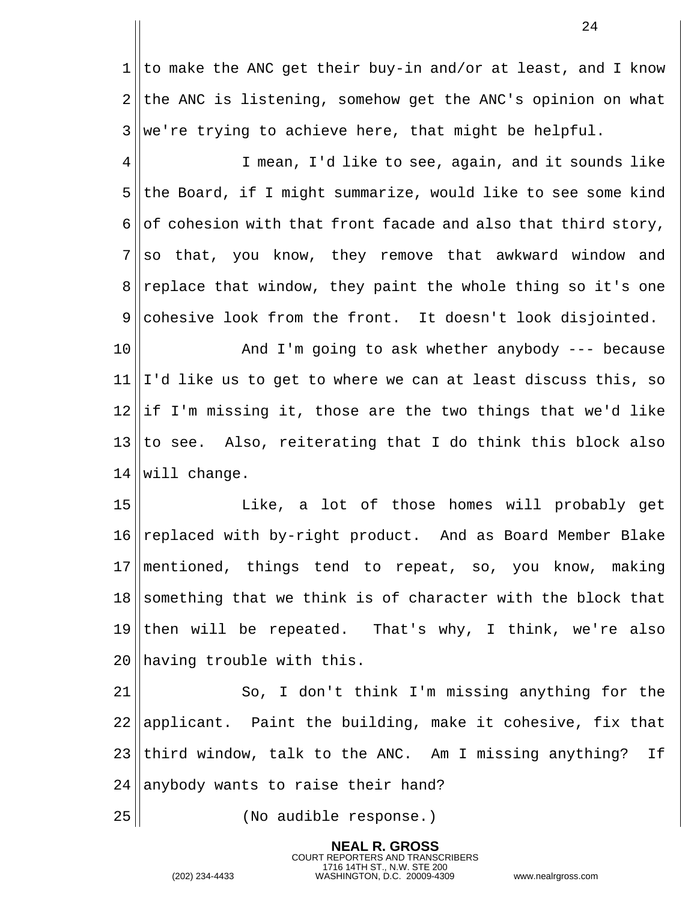1 || to make the ANC get their buy-in and/or at least, and I know  $2$  the ANC is listening, somehow get the ANC's opinion on what  $3$  we're trying to achieve here, that might be helpful.

 I mean, I'd like to see, again, and it sounds like the Board, if I might summarize, would like to see some kind 6 of cohesion with that front facade and also that third story, so that, you know, they remove that awkward window and 8 replace that window, they paint the whole thing so it's one cohesive look from the front. It doesn't look disjointed.

10 || The Mand I'm going to ask whether anybody --- because  $11 \parallel I$ 'd like us to get to where we can at least discuss this, so  $12$  ||if I'm missing it, those are the two things that we'd like  $13$  to see. Also, reiterating that I do think this block also 14 will change.

15 || Like, a lot of those homes will probably get 16 replaced with by-right product. And as Board Member Blake 17 mentioned, things tend to repeat, so, you know, making  $18$  something that we think is of character with the block that 19 then will be repeated. That's why, I think, we're also 20 having trouble with this.

21 || So, I don't think I'm missing anything for the applicant. Paint the building, make it cohesive, fix that third window, talk to the ANC. Am I missing anything? If anybody wants to raise their hand?

> **NEAL R. GROSS** COURT REPORTERS AND TRANSCRIBERS

25 (No audible response.)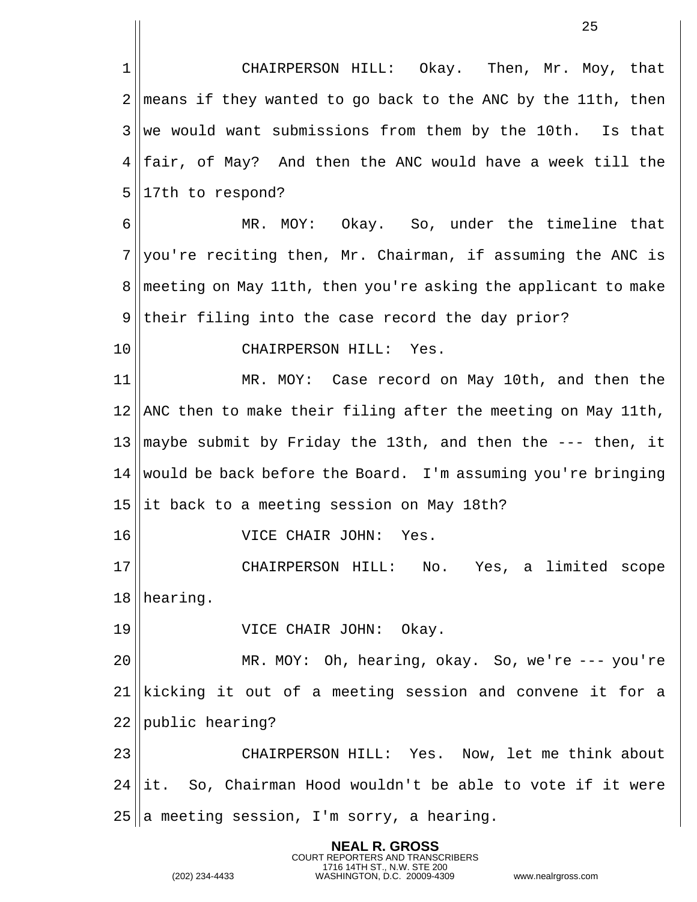|             | 25                                                             |
|-------------|----------------------------------------------------------------|
| $\mathbf 1$ | CHAIRPERSON HILL: Okay. Then, Mr. Moy, that                    |
| 2           | means if they wanted to go back to the ANC by the 11th, then   |
| 3           | we would want submissions from them by the 10th. Is that       |
| 4           | fair, of May? And then the ANC would have a week till the      |
| 5           | 17th to respond?                                               |
| 6           | MR. MOY: Okay. So, under the timeline that                     |
| 7           | you're reciting then, Mr. Chairman, if assuming the ANC is     |
| 8           | meeting on May 11th, then you're asking the applicant to make  |
| 9           | their filing into the case record the day prior?               |
| 10          | CHAIRPERSON HILL: Yes.                                         |
| 11          | MR. MOY: Case record on May 10th, and then the                 |
| 12          | ANC then to make their filing after the meeting on May 11th,   |
|             | 13  maybe submit by Friday the 13th, and then the --- then, it |
| 14          | would be back before the Board. I'm assuming you're bringing   |
| 15          | it back to a meeting session on May 18th?                      |
| 16          | VICE CHAIR JOHN: Yes.                                          |
| 17          | CHAIRPERSON HILL: No. Yes, a limited scope                     |
| 18          | hearing.                                                       |
| 19          | VICE CHAIR JOHN: Okay.                                         |
| 20          | MR. MOY: Oh, hearing, okay. So, we're --- you're               |
| 21          | kicking it out of a meeting session and convene it for a       |
| 22          | public hearing?                                                |
| 23          | CHAIRPERSON HILL: Yes. Now, let me think about                 |
| 24          | it. So, Chairman Hood wouldn't be able to vote if it were      |
| 25          | a meeting session, I'm sorry, a hearing.                       |

**NEAL R. GROSS**

COURT REPORTERS AND TRANSCRIBERS 1716 14TH ST., N.W. STE 200 (202) 234-4433 WASHINGTON, D.C. 20009-4309 www.nealrgross.com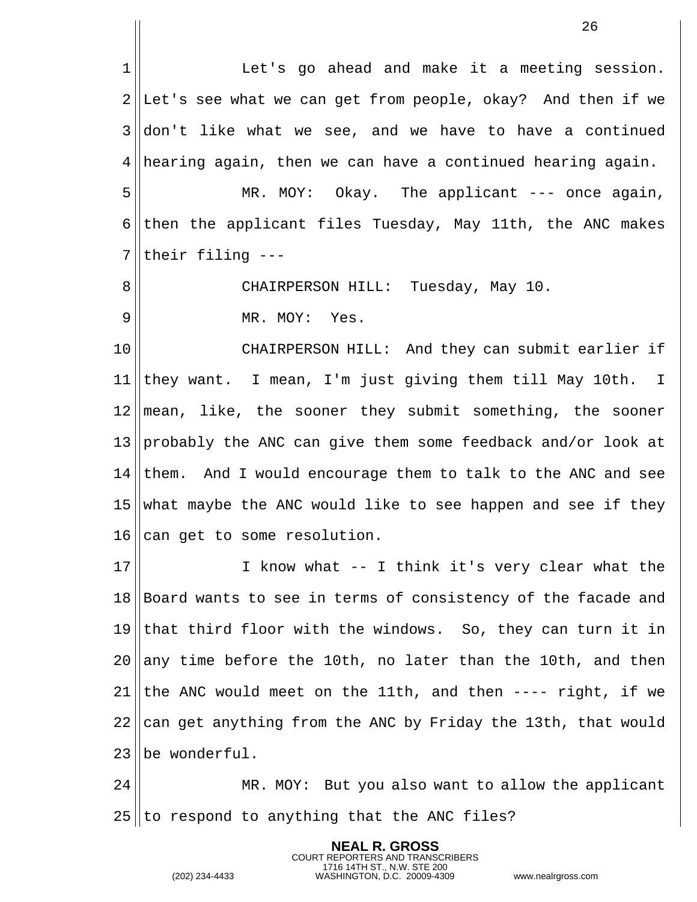1| The Let's go ahead and make it a meeting session. ||Let's see what we can get from people, okay? And then if we don't like what we see, and we have to have a continued || hearing again, then we can have a continued hearing again. 5 || MR. MOY: Okay. The applicant --- once again, 6 then the applicant files Tuesday, May 11th, the ANC makes ||their filing --- CHAIRPERSON HILL: Tuesday, May 10. 9 || MR. MOY: Yes. CHAIRPERSON HILL: And they can submit earlier if they want. I mean, I'm just giving them till May 10th. I mean, like, the sooner they submit something, the sooner 13 probably the ANC can give them some feedback and/or look at them. And I would encourage them to talk to the ANC and see 15 what maybe the ANC would like to see happen and see if they 16 can get to some resolution. I know what -- I think it's very clear what the Board wants to see in terms of consistency of the facade and that third floor with the windows. So, they can turn it in any time before the 10th, no later than the 10th, and then 21 the ANC would meet on the 11th, and then  $---$  right, if we 22 can get anything from the ANC by Friday the 13th, that would lbe wonderful. MR. MOY: But you also want to allow the applicant to respond to anything that the ANC files?

> **NEAL R. GROSS** COURT REPORTERS AND TRANSCRIBERS

1716 14TH ST., N.W. STE 200 (202) 234-4433 WASHINGTON, D.C. 20009-4309 www.nealrgross.com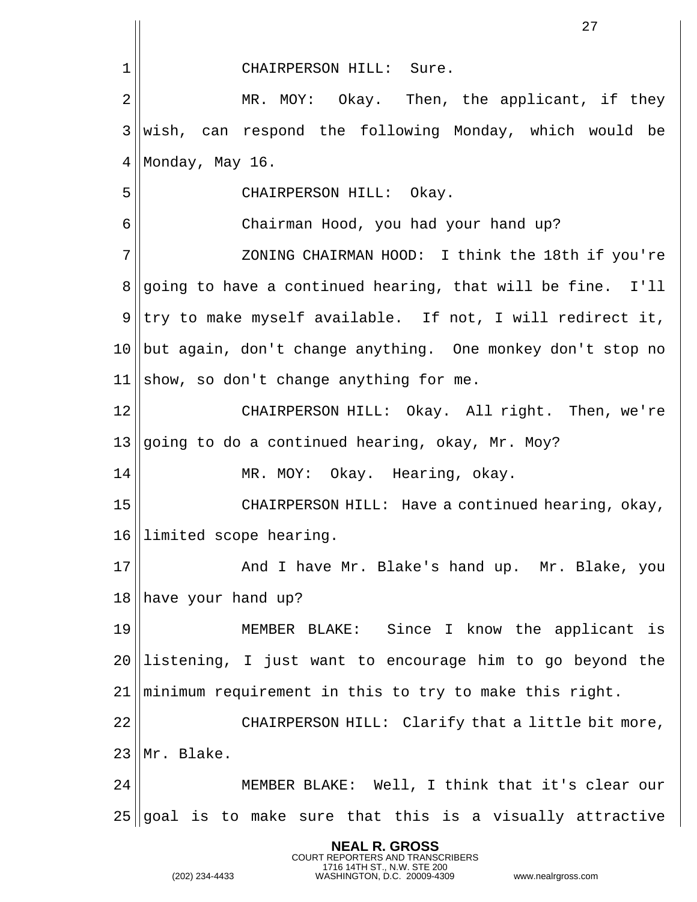|                | 27                                                             |
|----------------|----------------------------------------------------------------|
| 1              | CHAIRPERSON HILL: Sure.                                        |
| 2              | MR. MOY: Okay. Then, the applicant, if they                    |
| 3              | wish, can respond the following Monday, which would be         |
| 4              | Monday, May 16.                                                |
| 5              | CHAIRPERSON HILL: Okay.                                        |
| 6              | Chairman Hood, you had your hand up?                           |
| 7              | ZONING CHAIRMAN HOOD: I think the 18th if you're               |
| 8              | going to have a continued hearing, that will be fine. I'll     |
| 9 <sup>1</sup> | try to make myself available. If not, I will redirect it,      |
|                | 10  but again, don't change anything. One monkey don't stop no |
| 11             | show, so don't change anything for me.                         |
| 12             | CHAIRPERSON HILL: Okay. All right. Then, we're                 |
| 13             | going to do a continued hearing, okay, Mr. Moy?                |
| 14             | MR. MOY: Okay. Hearing, okay.                                  |
| 15             | CHAIRPERSON HILL: Have a continued hearing, okay,              |
|                | 16  limited scope hearing.                                     |
| 17             | And I have Mr. Blake's hand up. Mr. Blake, you                 |
| 18             | have your hand up?                                             |
| 19             | MEMBER BLAKE: Since I know the applicant is                    |
| 20             | listening, I just want to encourage him to go beyond the       |
| 21             | minimum requirement in this to try to make this right.         |
| 22             | CHAIRPERSON HILL: Clarify that a little bit more,              |
| 23             | Mr. Blake.                                                     |
| 24             | MEMBER BLAKE: Well, I think that it's clear our                |
| 25             | goal is to make sure that this is a visually attractive        |

**NEAL R. GROSS**

COURT REPORTERS AND TRANSCRIBERS 1716 14TH ST., N.W. STE 200 (202) 234-4433 WASHINGTON, D.C. 20009-4309 www.nealrgross.com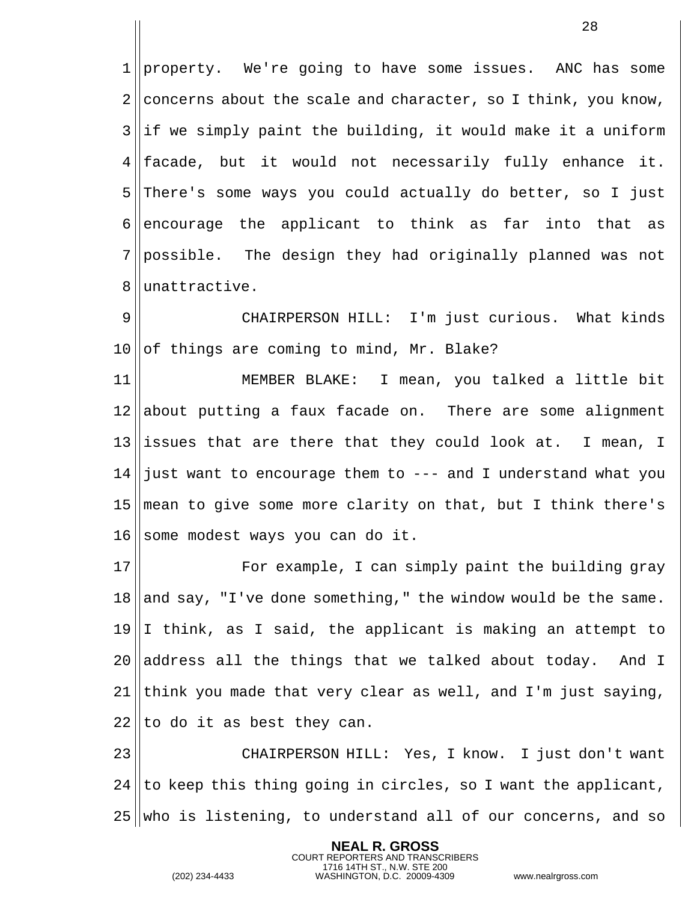1 property. We're going to have some issues. ANC has some 2 concerns about the scale and character, so I think, you know,  $3$ ||if we simply paint the building, it would make it a uniform  $4$  || facade, but it would not necessarily fully enhance it. 5 There's some ways you could actually do better, so I just 6 encourage the applicant to think as far into that as 7 possible. The design they had originally planned was not 8 ||unattractive.

9 CHAIRPERSON HILL: I'm just curious. What kinds  $10$  of things are coming to mind, Mr. Blake?

 MEMBER BLAKE: I mean, you talked a little bit about putting a faux facade on. There are some alignment issues that are there that they could look at. I mean, I 14 just want to encourage them to  $---$  and I understand what you mean to give some more clarity on that, but I think there's some modest ways you can do it.

17 || For example, I can simply paint the building gray  $18$  and say, "I've done something," the window would be the same.  $19 \parallel I$  think, as I said, the applicant is making an attempt to  $20$  address all the things that we talked about today. And I 21 think you made that very clear as well, and I'm just saying,  $22$  || to do it as best they can.

23 CHAIRPERSON HILL: Yes, I know. I just don't want  $24$  ||to keep this thing going in circles, so I want the applicant,  $25$  who is listening, to understand all of our concerns, and so

> **NEAL R. GROSS** COURT REPORTERS AND TRANSCRIBERS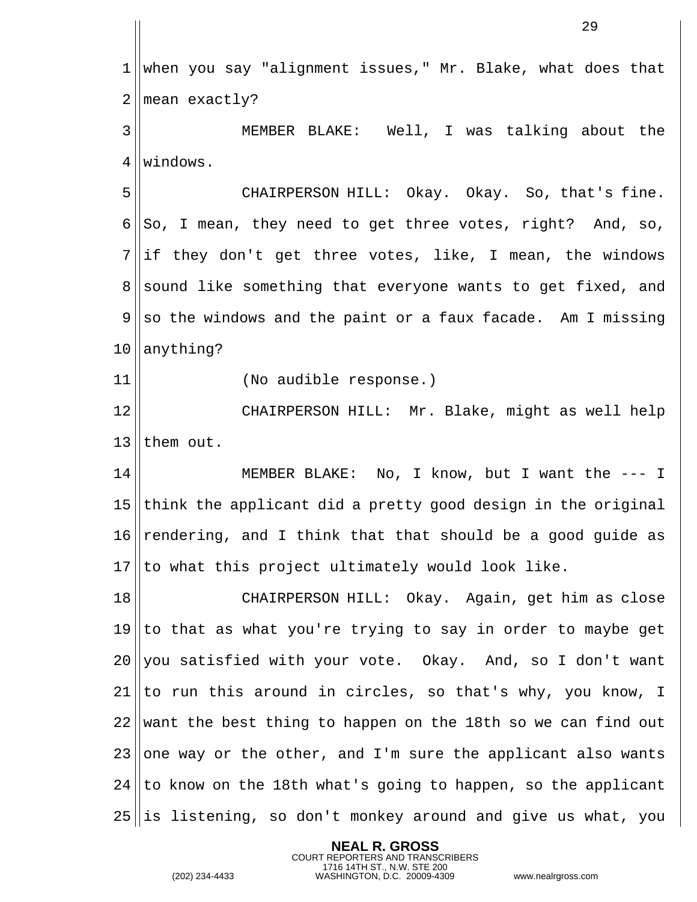when you say "alignment issues," Mr. Blake, what does that | mean exactly? MEMBER BLAKE: Well, I was talking about the 4 Windows. CHAIRPERSON HILL: Okay. Okay. So, that's fine. 6 So, I mean, they need to get three votes, right? And, so, ||if they don't get three votes, like, I mean, the windows sound like something that everyone wants to get fixed, and  $9 \parallel$  so the windows and the paint or a faux facade. Am I missing | anything? (No audible response.) CHAIRPERSON HILL: Mr. Blake, might as well help 13 Ithem out. MEMBER BLAKE: No, I know, but I want the --- I think the applicant did a pretty good design in the original  $\vert$  rendering, and I think that that should be a good quide as 17 Ito what this project ultimately would look like. CHAIRPERSON HILL: Okay. Again, get him as close to that as what you're trying to say in order to maybe get you satisfied with your vote. Okay. And, so I don't want ||to run this around in circles, so that's why, you know, I want the best thing to happen on the 18th so we can find out 23 one way or the other, and I'm sure the applicant also wants to know on the 18th what's going to happen, so the applicant is listening, so don't monkey around and give us what, you

> **NEAL R. GROSS** COURT REPORTERS AND TRANSCRIBERS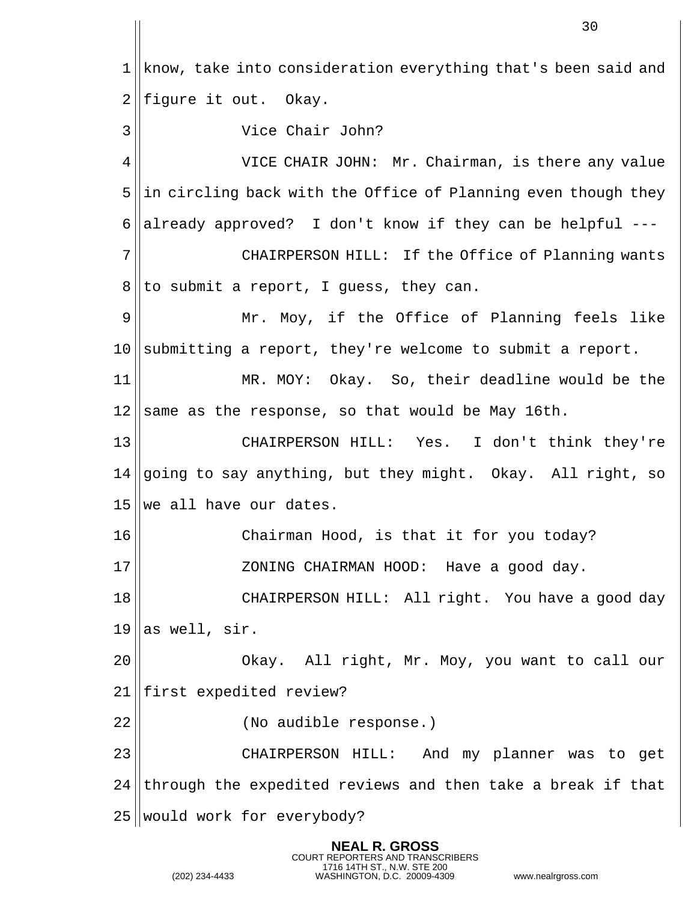1 | know, take into consideration everything that's been said and figure it out. Okay. Vice Chair John? VICE CHAIR JOHN: Mr. Chairman, is there any value ||in circling back with the Office of Planning even though they 6 already approved? I don't know if they can be helpful  $---$  CHAIRPERSON HILL: If the Office of Planning wants to submit a report, I guess, they can. Mr. Moy, if the Office of Planning feels like submitting a report, they're welcome to submit a report. MR. MOY: Okay. So, their deadline would be the same as the response, so that would be May 16th. CHAIRPERSON HILL: Yes. I don't think they're  $\sqrt{q}$  and to say anything, but they might. Okay. All right, so we all have our dates. 16 || Chairman Hood, is that it for you today? ZONING CHAIRMAN HOOD: Have a good day. CHAIRPERSON HILL: All right. You have a good day as well, sir. Okay. All right, Mr. Moy, you want to call our 21 | first expedited review? (No audible response.) CHAIRPERSON HILL: And my planner was to get through the expedited reviews and then take a break if that 25 | would work for everybody?

> **NEAL R. GROSS** COURT REPORTERS AND TRANSCRIBERS

```
1716 14TH ST., N.W. STE 200
(202) 234-4433 WASHINGTON, D.C. 20009-4309 www.nealrgross.com
```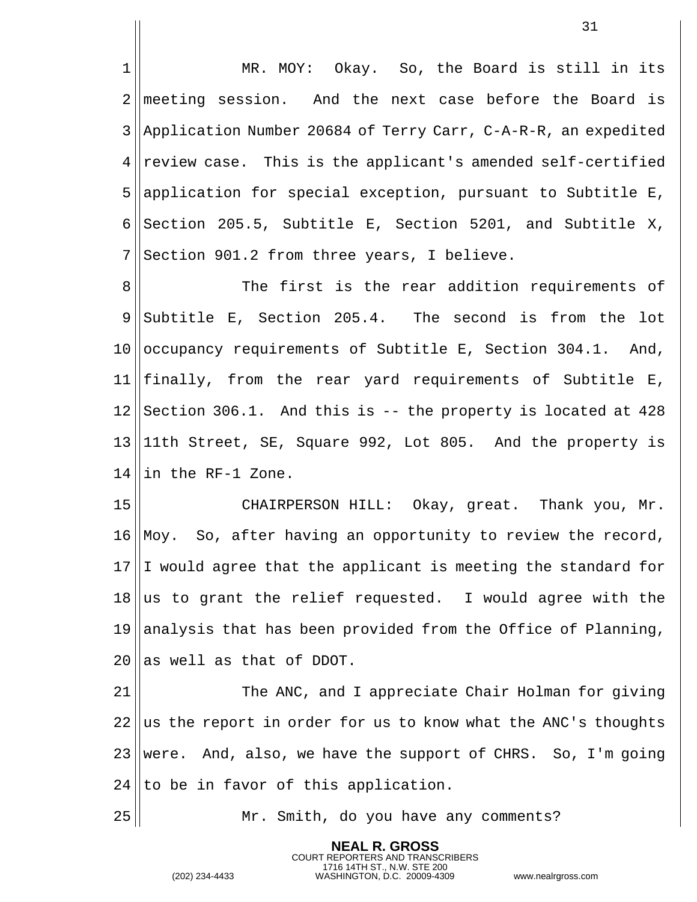MR. MOY: Okay. So, the Board is still in its 2 meeting session. And the next case before the Board is 3 Application Number 20684 of Terry Carr, C-A-R-R, an expedited review case. This is the applicant's amended self-certified application for special exception, pursuant to Subtitle E, 6 Section 205.5, Subtitle E, Section 5201, and Subtitle X, Section 901.2 from three years, I believe.

 $\parallel$  The first is the rear addition requirements of  $9 \parallel$  Subtitle E, Section 205.4. The second is from the lot  $|$  occupancy requirements of Subtitle E, Section 304.1. And, finally, from the rear yard requirements of Subtitle E, Section 306.1. And this is  $-$  the property is located at 428 11th Street, SE, Square 992, Lot 805. And the property is ||in the RF-1 Zone.

 CHAIRPERSON HILL: Okay, great. Thank you, Mr.  $\vert$  Moy. So, after having an opportunity to review the record, I would agree that the applicant is meeting the standard for as to grant the relief requested. I would agree with the 19 analysis that has been provided from the Office of Planning, 20 las well as that of DDOT.

 The ANC, and I appreciate Chair Holman for giving ||us the report in order for us to know what the ANC's thoughts 23 were. And, also, we have the support of CHRS. So, I'm going to be in favor of this application.

Mr. Smith, do you have any comments?

**NEAL R. GROSS** COURT REPORTERS AND TRANSCRIBERS

1716 14TH ST., N.W. STE 200 (202) 234-4433 WASHINGTON, D.C. 20009-4309 www.nealrgross.com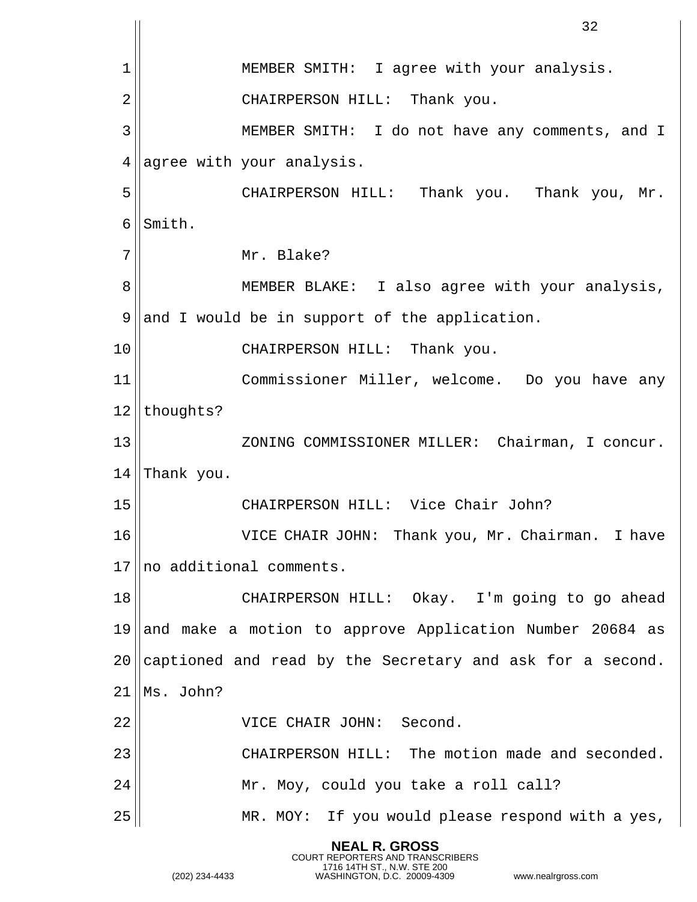|                | 32                                                        |
|----------------|-----------------------------------------------------------|
| 1              | MEMBER SMITH: I agree with your analysis.                 |
| $\overline{2}$ | CHAIRPERSON HILL: Thank you.                              |
| 3              | MEMBER SMITH: I do not have any comments, and I           |
| 4              | agree with your analysis.                                 |
| 5              | CHAIRPERSON HILL: Thank you. Thank you, Mr.               |
| 6              | Smith.                                                    |
| 7              | Mr. Blake?                                                |
| 8              | MEMBER BLAKE: I also agree with your analysis,            |
| 9              | and I would be in support of the application.             |
| 10             | CHAIRPERSON HILL: Thank you.                              |
| 11             | Commissioner Miller, welcome. Do you have any             |
| 12             | thoughts?                                                 |
| 13             | ZONING COMMISSIONER MILLER: Chairman, I concur.           |
| 14             | Thank you.                                                |
| 15             | CHAIRPERSON HILL: Vice Chair John?                        |
| 16             | VICE CHAIR JOHN: Thank you, Mr. Chairman. I have          |
| 17             | no additional comments.                                   |
| 18             | CHAIRPERSON HILL: Okay. I'm going to go ahead             |
| 19             | and make a motion to approve Application Number 20684 as  |
| 20             | captioned and read by the Secretary and ask for a second. |
| 21             | Ms. John?                                                 |
| 22             | VICE CHAIR JOHN: Second.                                  |
| 23             | CHAIRPERSON HILL: The motion made and seconded.           |
| 24             | Mr. Moy, could you take a roll call?                      |
| 25             | MR. MOY: If you would please respond with a yes,          |

**NEAL R. GROSS**

COURT REPORTERS AND TRANSCRIBERS 1716 14TH ST., N.W. STE 200 (202) 234-4433 WASHINGTON, D.C. 20009-4309 www.nealrgross.com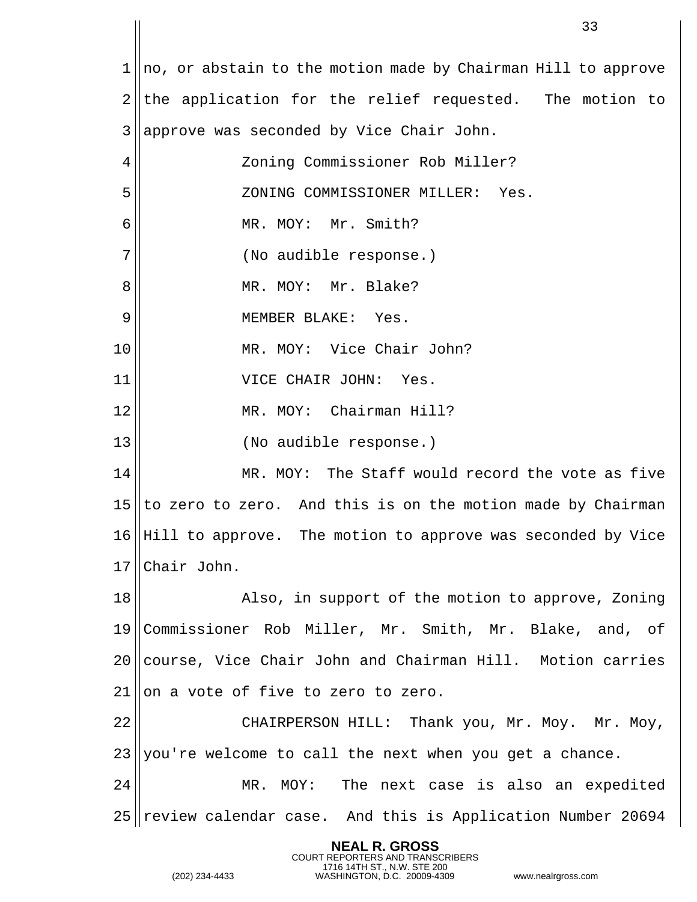||no, or abstain to the motion made by Chairman Hill to approve ||the application for the relief requested. The motion to || approve was seconded by Vice Chair John. Zoning Commissioner Rob Miller? ZONING COMMISSIONER MILLER: Yes. 6 || MR. MOY: Mr. Smith? 7|| (No audible response.) 8 || MR. MOY: Mr. Blake? MEMBER BLAKE: Yes. MR. MOY: Vice Chair John? VICE CHAIR JOHN: Yes. MR. MOY: Chairman Hill? (No audible response.) MR. MOY: The Staff would record the vote as five to zero to zero. And this is on the motion made by Chairman Hill to approve. The motion to approve was seconded by Vice Chair John. 18 || Also, in support of the motion to approve, Zoning Commissioner Rob Miller, Mr. Smith, Mr. Blake, and, of course, Vice Chair John and Chairman Hill. Motion carries 21 Hon a vote of five to zero to zero. CHAIRPERSON HILL: Thank you, Mr. Moy. Mr. Moy, you're welcome to call the next when you get a chance. MR. MOY: The next case is also an expedited review calendar case. And this is Application Number 20694

> **NEAL R. GROSS** COURT REPORTERS AND TRANSCRIBERS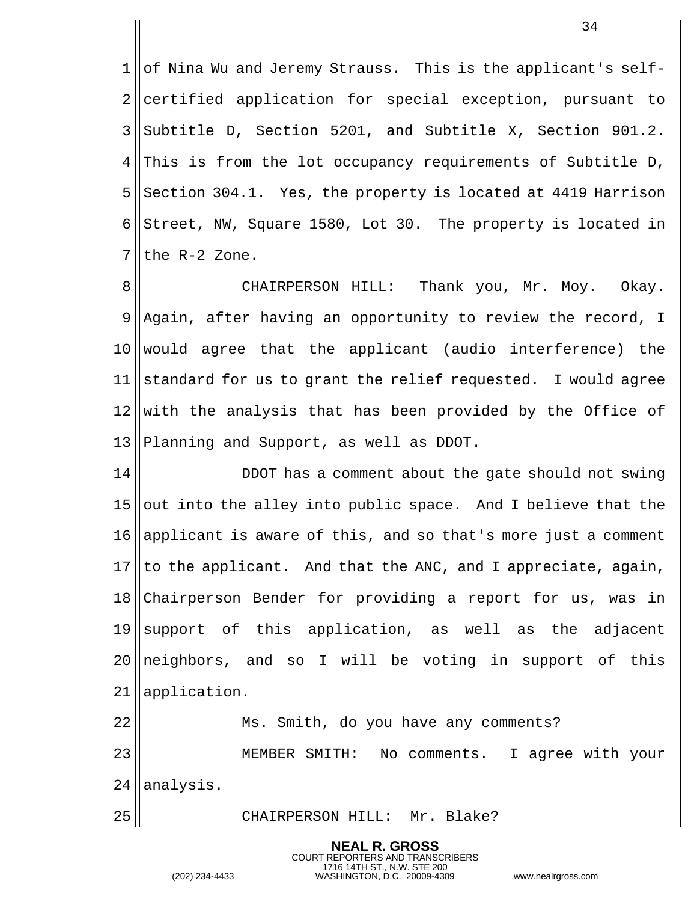||of Nina Wu and Jeremy Strauss. This is the applicant's self- certified application for special exception, pursuant to  $3 \text{ |}$ Subtitle D, Section 5201, and Subtitle X, Section 901.2. This is from the lot occupancy requirements of Subtitle D, Section 304.1. Yes, the property is located at 4419 Harrison 6 Street, NW, Square 1580, Lot 30. The property is located in the R-2 Zone.

 CHAIRPERSON HILL: Thank you, Mr. Moy. Okay. Aqain, after having an opportunity to review the record, I would agree that the applicant (audio interference) the 11 standard for us to grant the relief requested. I would agree with the analysis that has been provided by the Office of Planning and Support, as well as DDOT.

 DDOT has a comment about the gate should not swing out into the alley into public space. And I believe that the 16 applicant is aware of this, and so that's more just a comment to the applicant. And that the ANC, and I appreciate, again, Chairperson Bender for providing a report for us, was in support of this application, as well as the adjacent 20 || neighbors, and so I will be voting in support of this application. Ms. Smith, do you have any comments?

 MEMBER SMITH: No comments. I agree with your ||analysis.

> **NEAL R. GROSS** COURT REPORTERS AND TRANSCRIBERS

25 || CHAIRPERSON HILL: Mr. Blake?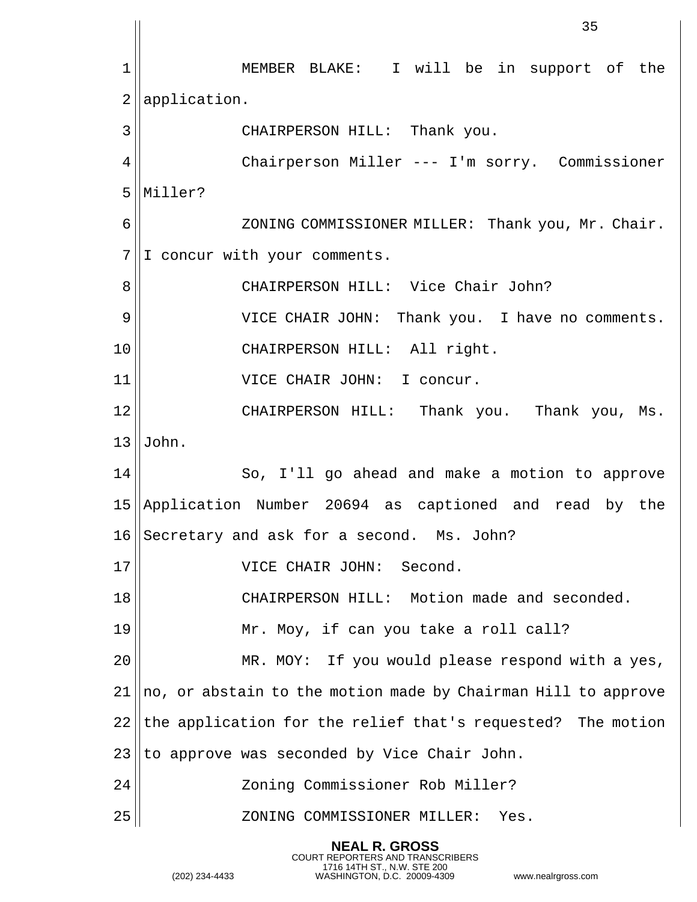1|| MEMBER BLAKE: I will be in support of the | application. CHAIRPERSON HILL: Thank you. Chairperson Miller --- I'm sorry. Commissioner Miller? 6 || ZONING COMMISSIONER MILLER: Thank you, Mr. Chair.  $7||1$  concur with your comments. 8 || CHAIRPERSON HILL: Vice Chair John? VICE CHAIR JOHN: Thank you. I have no comments. CHAIRPERSON HILL: All right. VICE CHAIR JOHN: I concur. CHAIRPERSON HILL: Thank you. Thank you, Ms.  $J$ ohn. 14 So, I'll go ahead and make a motion to approve Application Number 20694 as captioned and read by the Secretary and ask for a second. Ms. John? VICE CHAIR JOHN: Second. CHAIRPERSON HILL: Motion made and seconded. 19 || Mr. Moy, if can you take a roll call? 20 || MR. MOY: If you would please respond with a yes, ||no, or abstain to the motion made by Chairman Hill to approve the application for the relief that's requested? The motion to approve was seconded by Vice Chair John. Zoning Commissioner Rob Miller? ZONING COMMISSIONER MILLER: Yes.

> **NEAL R. GROSS** COURT REPORTERS AND TRANSCRIBERS

1716 14TH ST., N.W. STE 200 (202) 234-4433 WASHINGTON, D.C. 20009-4309 www.nealrgross.com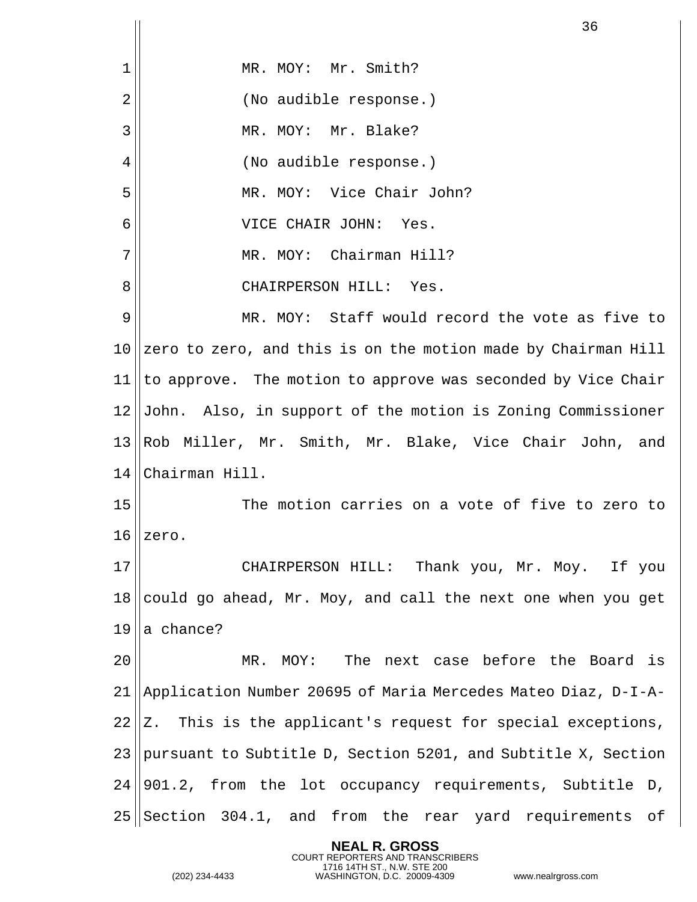|                | 36                                                            |
|----------------|---------------------------------------------------------------|
| $\mathbf 1$    | MR. MOY: Mr. Smith?                                           |
| $\overline{2}$ | (No audible response.)                                        |
| 3              | MR. MOY: Mr. Blake?                                           |
| 4              | (No audible response.)                                        |
| 5              | MR. MOY: Vice Chair John?                                     |
| 6              | VICE CHAIR JOHN:<br>Yes.                                      |
| 7              | MR. MOY: Chairman Hill?                                       |
| 8              | CHAIRPERSON HILL: Yes.                                        |
| 9              | MR. MOY: Staff would record the vote as five to               |
| 10             | zero to zero, and this is on the motion made by Chairman Hill |
| 11             | to approve. The motion to approve was seconded by Vice Chair  |
| 12             | John. Also, in support of the motion is Zoning Commissioner   |
| 13             | Rob Miller, Mr. Smith, Mr. Blake, Vice Chair John, and        |
| 14             | Chairman Hill.                                                |
| 15             | The motion carries on a vote of five to zero to               |
| 16             | zero.                                                         |
| 17             | CHAIRPERSON HILL: Thank you, Mr. Moy. If you                  |
| 18             | could go ahead, Mr. Moy, and call the next one when you get   |
| 19             | a chance?                                                     |
| 20             | MR. MOY: The next case before the Board is                    |
| 21             | Application Number 20695 of Maria Mercedes Mateo Diaz, D-I-A- |
| 22             | Z. This is the applicant's request for special exceptions,    |
| 23             | pursuant to Subtitle D, Section 5201, and Subtitle X, Section |
| 24             | 901.2, from the lot occupancy requirements, Subtitle D,       |
| 25             | Section 304.1, and from the rear yard requirements of         |

**NEAL R. GROSS**

COURT REPORTERS AND TRANSCRIBERS 1716 14TH ST., N.W. STE 200 (202) 234-4433 WASHINGTON, D.C. 20009-4309 www.nealrgross.com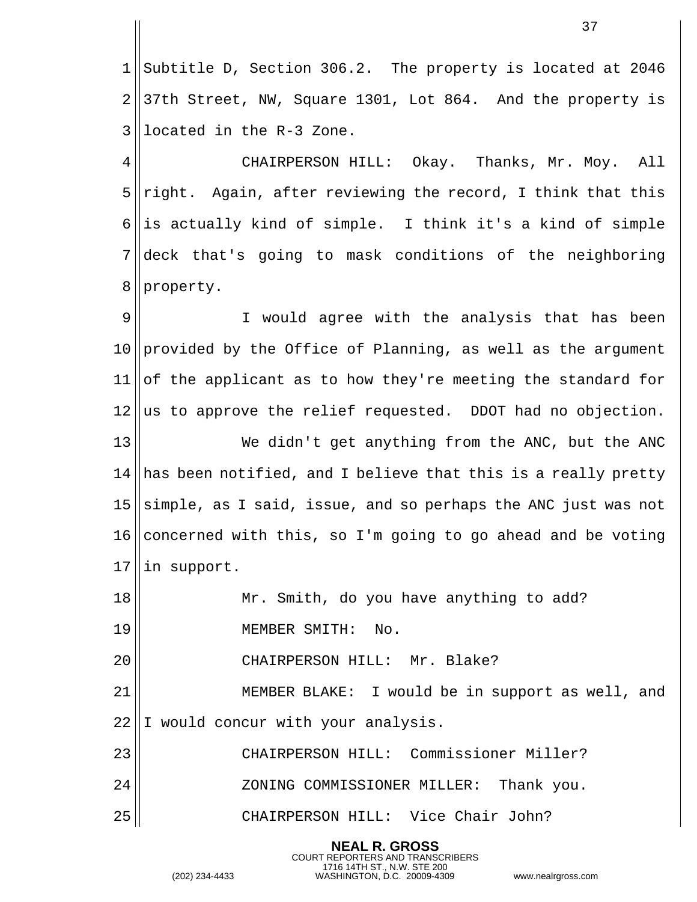1 || Subtitle D, Section 306.2. The property is located at 2046  $2 \parallel 37$ th Street, NW, Square 1301, Lot 864. And the property is located in the R-3 Zone.

 CHAIRPERSON HILL: Okay. Thanks, Mr. Moy. All right. Again, after reviewing the record, I think that this  $\parallel$  is actually kind of simple. I think it's a kind of simple deck that's going to mask conditions of the neighboring 8 | property.

9 || I would agree with the analysis that has been 10 || provided by the Office of Planning, as well as the argument of the applicant as to how they're meeting the standard for as to approve the relief requested. DDOT had no objection. We didn't get anything from the ANC, but the ANC has been notified, and I believe that this is a really pretty  $\vert$ simple, as I said, issue, and so perhaps the ANC just was not 16 concerned with this, so I'm going to go ahead and be voting in support. Mr. Smith, do you have anything to add? MEMBER SMITH: No. CHAIRPERSON HILL: Mr. Blake? 21 || MEMBER BLAKE: I would be in support as well, and 22 I would concur with your analysis. CHAIRPERSON HILL: Commissioner Miller? ZONING COMMISSIONER MILLER: Thank you.

CHAIRPERSON HILL: Vice Chair John?

**NEAL R. GROSS** COURT REPORTERS AND TRANSCRIBERS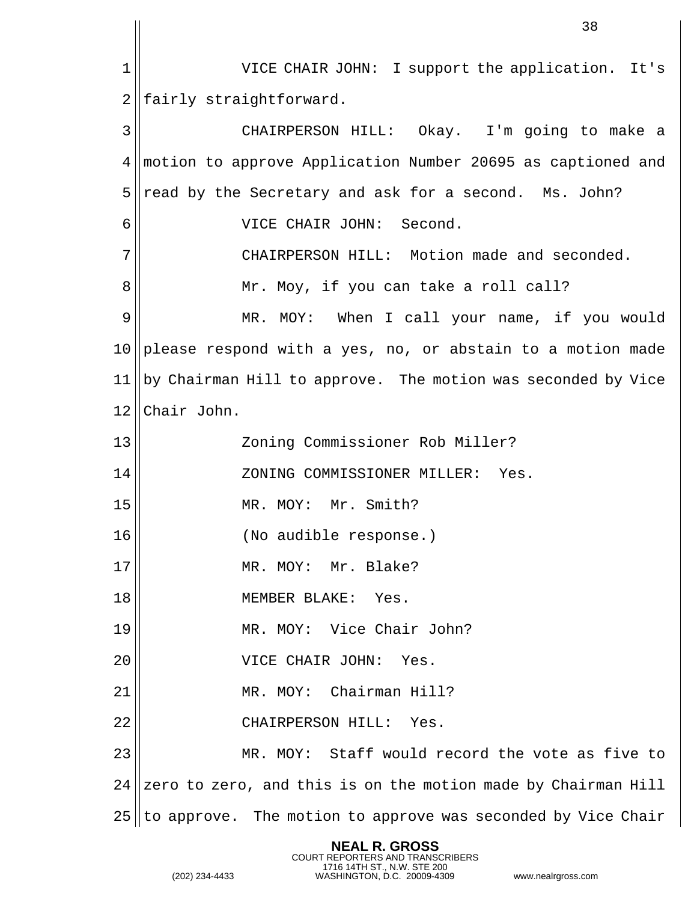1| VICE CHAIR JOHN: I support the application. It's fairly straightforward. CHAIRPERSON HILL: Okay. I'm going to make a motion to approve Application Number 20695 as captioned and read by the Secretary and ask for a second. Ms. John? VICE CHAIR JOHN: Second. CHAIRPERSON HILL: Motion made and seconded. Mr. Moy, if you can take a roll call? MR. MOY: When I call your name, if you would please respond with a yes, no, or abstain to a motion made  $\vert$  by Chairman Hill to approve. The motion was seconded by Vice 12 Chair John. Zoning Commissioner Rob Miller? ZONING COMMISSIONER MILLER: Yes. MR. MOY: Mr. Smith? (No audible response.) 17 || MR. MOY: Mr. Blake? MEMBER BLAKE: Yes. MR. MOY: Vice Chair John? VICE CHAIR JOHN: Yes. MR. MOY: Chairman Hill? CHAIRPERSON HILL: Yes. MR. MOY: Staff would record the vote as five to | zero to zero, and this is on the motion made by Chairman Hill to approve. The motion to approve was seconded by Vice Chair

> **NEAL R. GROSS** COURT REPORTERS AND TRANSCRIBERS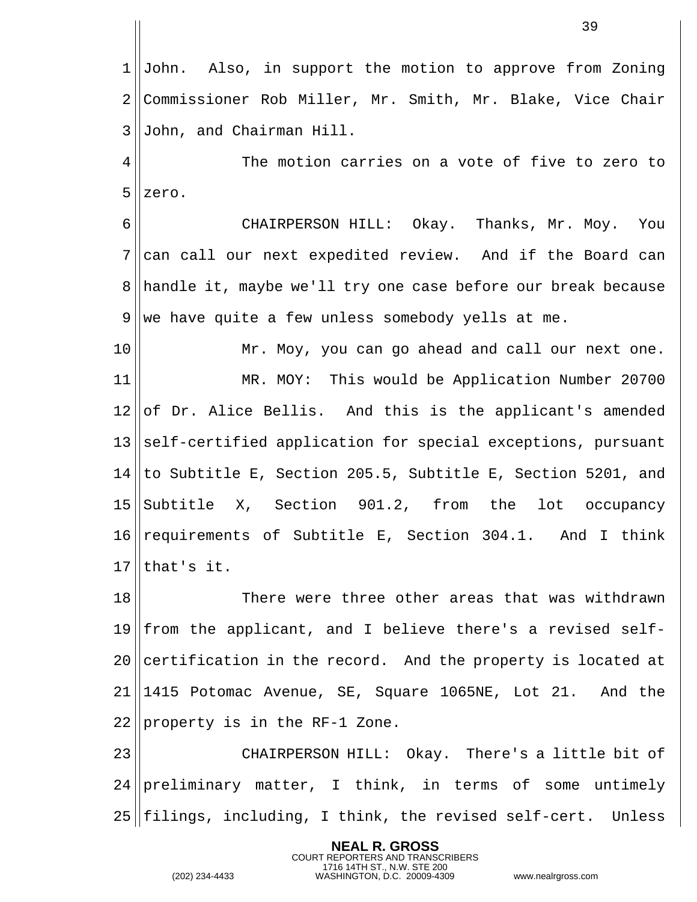John. Also, in support the motion to approve from Zoning 2 Commissioner Rob Miller, Mr. Smith, Mr. Blake, Vice Chair John, and Chairman Hill.

 The motion carries on a vote of five to zero to zero.

 CHAIRPERSON HILL: Okay. Thanks, Mr. Moy. You can call our next expedited review. And if the Board can 8 handle it, maybe we'll try one case before our break because we have quite a few unless somebody yells at me.

 Mr. Moy, you can go ahead and call our next one. MR. MOY: This would be Application Number 20700 of Dr. Alice Bellis. And this is the applicant's amended self-certified application for special exceptions, pursuant ||to Subtitle E, Section 205.5, Subtitle E, Section 5201, and 15 || Subtitle X, Section 901.2, from the lot occupancy requirements of Subtitle E, Section 304.1. And I think lthat's it.

 There were three other areas that was withdrawn from the applicant, and I believe there's a revised self-20 certification in the record. And the property is located at 1415 Potomac Avenue, SE, Square 1065NE, Lot 21. And the | property is in the RF-1 Zone.

23 || CHAIRPERSON HILL: Okay. There's a little bit of 24 preliminary matter, I think, in terms of some untimely ||filings, including, I think, the revised self-cert. Unless

> **NEAL R. GROSS** COURT REPORTERS AND TRANSCRIBERS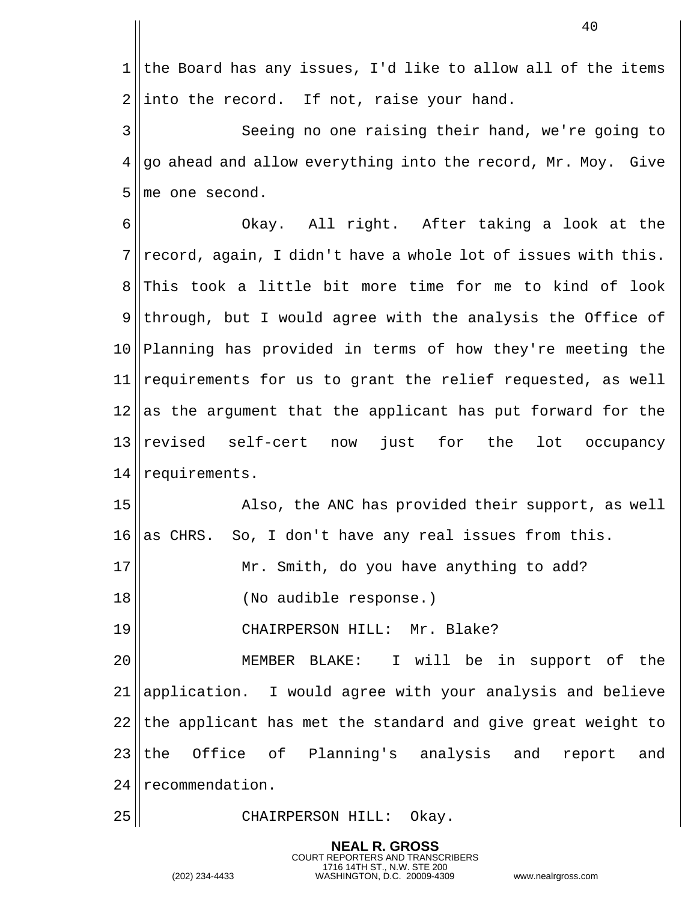1 the Board has any issues, I'd like to allow all of the items  $2 \parallel$  into the record. If not, raise your hand. Seeing no one raising their hand, we're going to go ahead and allow everything into the record, Mr. Moy. Give ||me one second. Okay. All right. After taking a look at the record, again, I didn't have a whole lot of issues with this. 8 This took a little bit more time for me to kind of look through, but I would agree with the analysis the Office of Planning has provided in terms of how they're meeting the requirements for us to grant the relief requested, as well as the argument that the applicant has put forward for the revised self-cert now just for the lot occupancy 14 | requirements. 15 || Also, the ANC has provided their support, as well as CHRS. So, I don't have any real issues from this. 17 || Mr. Smith, do you have anything to add? (No audible response.) CHAIRPERSON HILL: Mr. Blake? MEMBER BLAKE: I will be in support of the 21 application. I would agree with your analysis and believe the applicant has met the standard and give great weight to 23 the Office of Planning's analysis and report and 24 recommendation.

25 || CHAIRPERSON HILL: Okay.

**NEAL R. GROSS** COURT REPORTERS AND TRANSCRIBERS

1716 14TH ST., N.W. STE 200 (202) 234-4433 WASHINGTON, D.C. 20009-4309 www.nealrgross.com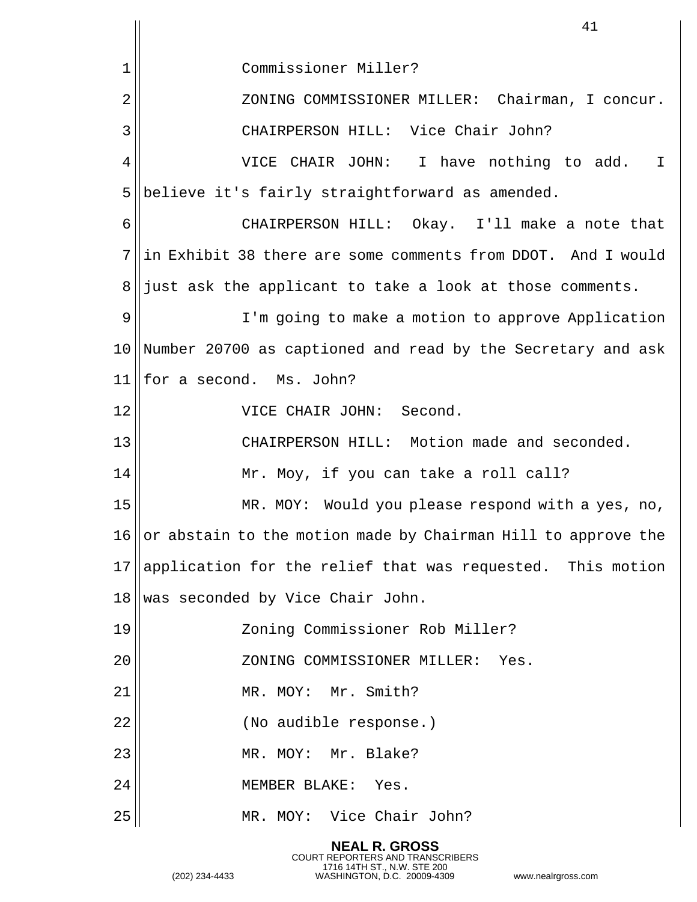|    | 41                                                                |
|----|-------------------------------------------------------------------|
| 1  | Commissioner Miller?                                              |
| 2  | ZONING COMMISSIONER MILLER: Chairman, I concur.                   |
| 3  | CHAIRPERSON HILL: Vice Chair John?                                |
| 4  | VICE CHAIR JOHN: I have nothing to add. I                         |
| 5  | believe it's fairly straightforward as amended.                   |
| 6  | CHAIRPERSON HILL: Okay. I'll make a note that                     |
| 7  | in Exhibit 38 there are some comments from DDOT. And I would      |
| 8  | just ask the applicant to take a look at those comments.          |
| 9  | I'm going to make a motion to approve Application                 |
| 10 | Number 20700 as captioned and read by the Secretary and ask       |
| 11 | for a second. Ms. John?                                           |
| 12 | VICE CHAIR JOHN: Second.                                          |
| 13 | CHAIRPERSON HILL: Motion made and seconded.                       |
| 14 | Mr. Moy, if you can take a roll call?                             |
| 15 | MR. MOY: Would you please respond with a yes, no,                 |
|    | 16  or abstain to the motion made by Chairman Hill to approve the |
| 17 | application for the relief that was requested. This motion        |
| 18 | was seconded by Vice Chair John.                                  |
| 19 | Zoning Commissioner Rob Miller?                                   |
| 20 | ZONING COMMISSIONER MILLER: Yes.                                  |
| 21 | MR. MOY: Mr. Smith?                                               |
| 22 | (No audible response.)                                            |
| 23 | MR. MOY: Mr. Blake?                                               |
| 24 | MEMBER BLAKE: Yes.                                                |
| 25 | MR. MOY: Vice Chair John?                                         |

**NEAL R. GROSS**

COURT REPORTERS AND TRANSCRIBERS 1716 14TH ST., N.W. STE 200 (202) 234-4433 WASHINGTON, D.C. 20009-4309 www.nealrgross.com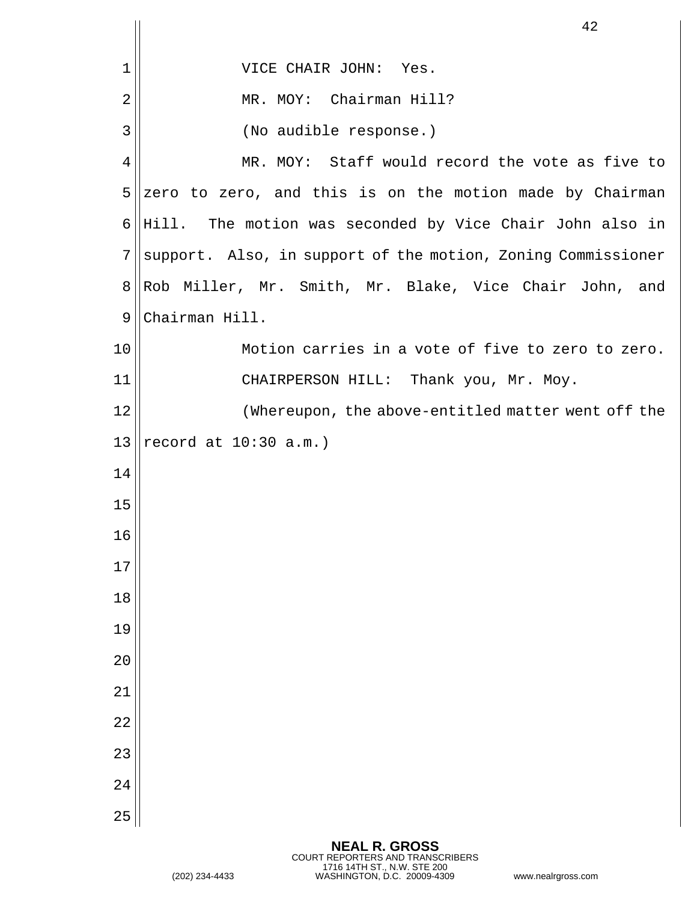|                 | 42                                                           |
|-----------------|--------------------------------------------------------------|
| 1               | VICE CHAIR JOHN: Yes.                                        |
| $\overline{2}$  | Chairman Hill?<br>MR. MOY:                                   |
| 3               | (No audible response.)                                       |
| $\overline{4}$  | MR. MOY: Staff would record the vote as five to              |
| 5               | zero to zero, and this is on the motion made by Chairman     |
| 6               | Hill. The motion was seconded by Vice Chair John also in     |
| 7               | support. Also, in support of the motion, Zoning Commissioner |
| 8               | Rob Miller, Mr. Smith, Mr. Blake, Vice Chair John, and       |
| $\mathsf 9$     | Chairman Hill.                                               |
| 10              | Motion carries in a vote of five to zero to zero.            |
| 11              | CHAIRPERSON HILL: Thank you, Mr. Moy.                        |
| 12              | (Whereupon, the above-entitled matter went off the           |
| 13              | record at $10:30$ a.m.)                                      |
| 14              |                                                              |
| 15              |                                                              |
| 16              |                                                              |
| 17              |                                                              |
| 18              |                                                              |
| 19              |                                                              |
| 20              |                                                              |
| 21              |                                                              |
| $\overline{2}2$ |                                                              |
| 23              |                                                              |
| 24              |                                                              |
| 25              |                                                              |